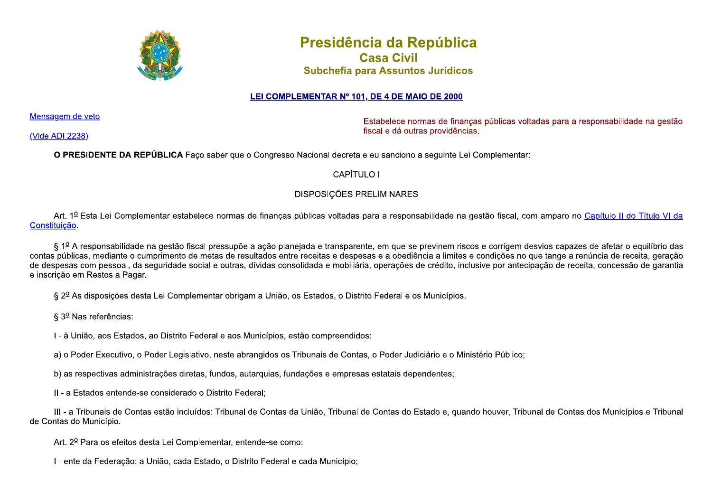

# Presidência da República **Casa Civil** Subchefia para Assuntos Jurídicos

# LEI COMPLEMENTAR Nº 101, DE 4 DE MAIO DE 2000

Mensagem de veto

(Vide ADI 2238)

Estabelece normas de financas públicas voltadas para a responsabilidade na gestão fiscal e dá outras providências.

O PRESIDENTE DA REPÚBLICA Faco saber que o Congresso Nacional decreta e eu sanciono a sequinte Lei Complementar:

# CAPÍTULO I

# **DISPOSIÇÕES PRELIMINARES**

Art. 1º Esta Lei Complementar estabelece normas de financas públicas voltadas para a responsabilidade na gestão fiscal, com amparo no Capítulo II do Título VI da Constituição.

§ 1º A responsabilidade na gestão fiscal pressupõe a ação planejada e transparente, em que se previnem riscos e corrigem desvios capazes de afetar o equilíbrio das contas públicas, mediante o cumprimento de metas de resultados entre receitas e despesas e a obediência a limites e condições no que tange a renúncia de receita, geração de despesas com pessoal, da seguridade social e outras, dívidas consolidada e mobiliária, operações de crédito, inclusive por antecipação de receita, concessão de garantia e inscrição em Restos a Pagar.

§ 2º As disposições desta Lei Complementar obrigam a União, os Estados, o Distrito Federal e os Municípios.

§ 3<sup>0</sup> Nas referências:

I - à União, aos Estados, ao Distrito Federal e aos Municípios, estão compreendidos:

a) o Poder Executivo, o Poder Legislativo, neste abrangidos os Tribunais de Contas, o Poder Judiciário e o Ministério Público;

b) as respectivas administrações diretas, fundos, autarquias, fundações e empresas estatais dependentes;

II - a Estados entende-se considerado o Distrito Federal;

III - a Tribunais de Contas estão incluídos: Tribunal de Contas da União, Tribunal de Contas do Estado e, quando houver, Tribunal de Contas dos Municípios e Tribunal de Contas do Município.

Art. 2º Para os efeitos desta Lei Complementar, entende-se como:

I - ente da Federação: a União, cada Estado, o Distrito Federal e cada Município;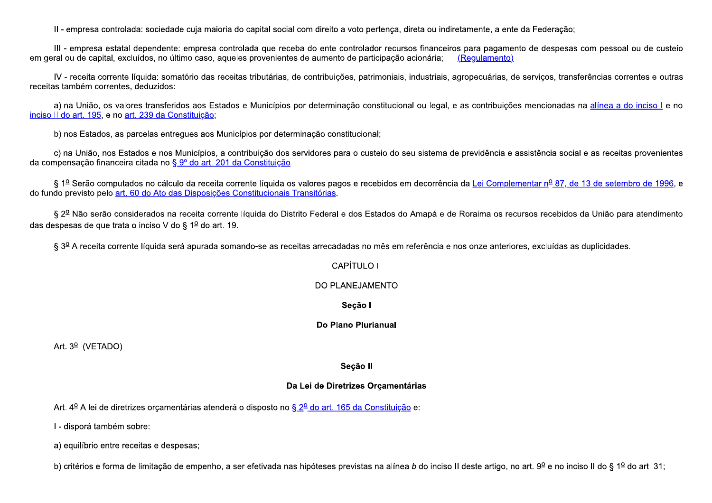II - empresa controlada: sociedade cuja maioria do capital social com direito a voto pertença, direta ou indiretamente, a ente da Federação;

III - empresa estatal dependente: empresa controlada que receba do ente controlador recursos financeiros para pagamento de despesas com pessoal ou de custeio em geral ou de capital, excluídos, no último caso, aqueles provenientes de aumento de participação acionária: (Regulamento)

IV - receita corrente líquida: somatório das receitas tributárias, de contribuições, patrimoniais, industriais, agropecuárias, de servicos, transferências correntes e outras receitas também correntes, deduzidos:

a) na União, os valores transferidos aos Estados e Municípios por determinação constitucional ou legal, e as contribuições mencionadas na alínea a do inciso I e no inciso II do art. 195, e no art. 239 da Constituição:

b) nos Estados, as parcelas entregues aos Municípios por determinação constitucional;

c) na União, nos Estados e nos Municípios, a contribuição dos servidores para o custeio do seu sistema de previdência e assistência social e as receitas provenientes da compensação financeira citada no § 9º do art. 201 da Constituição.

§ 1º Serão computados no cálculo da receita corrente líquida os valores pagos e recebidos em decorrência da Lei Complementar nº 87, de 13 de setembro de 1996, e do fundo previsto pelo art. 60 do Ato das Disposições Constitucionais Transitórias

§ 2º Não serão considerados na receita corrente líquida do Distrito Federal e dos Estados do Amapá e de Roraima os recursos recebidos da União para atendimento das despesas de que trata o inciso V do § 1º do art. 19.

§ 3º A receita corrente líquida será apurada somando-se as receitas arrecadadas no mês em referência e nos onze anteriores, excluídas as duplicidades.

### **CAPÍTULO II**

# DO PLANEJAMENTO

Seção I

### Do Plano Plurianual

Art.  $3^{\circ}$  (VETADO)

### Secão II

# Da Lei de Diretrizes Orçamentárias

Art. 4º A lei de diretrizes orçamentárias atenderá o disposto no § 2º do art. 165 da Constituição e:

I - disporá também sobre:

a) equilíbrio entre receitas e despesas;

b) critérios e forma de limitação de empenho, a ser efetivada nas hipóteses previstas na alínea b do inciso II deste artigo, no art. 9º e no inciso II do § 1º do art. 31;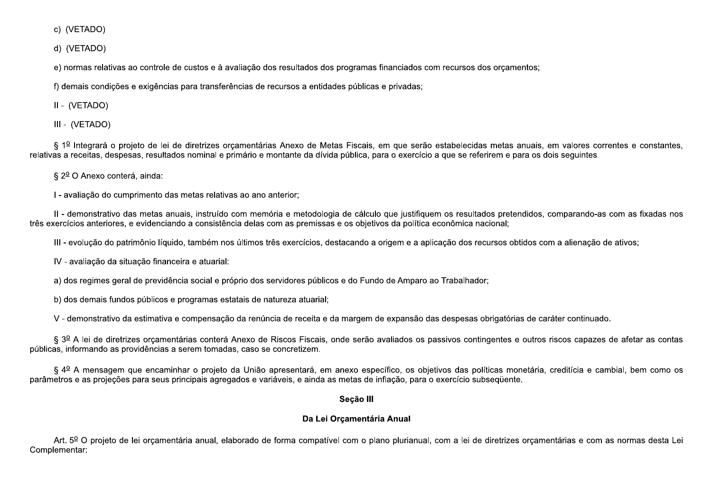c) (VETADO)

d) (VETADO)

e) normas relativas ao controle de custos e à avaliação dos resultados dos programas financiados com recursos dos orcamentos;

f) demais condições e exigências para transferências de recursos a entidades públicas e privadas;

II - (VETADO)

III - (VETADO)

\$ 1º Integrará o proieto de lei de diretrizes orcamentárias Anexo de Metas Fiscais, em que serão estabelecidas metas anuais, em valores correntes e constantes. relativas a receitas, despesas, resultados nominal e primário e montante da dívida pública, para o exercício a que se referirem e para os dois seguintes.

§ 2º O Anexo conterá, ainda:

I - avaliação do cumprimento das metas relativas ao ano anterior;

II - demonstrativo das metas anuais, instruído com memória e metodologia de cálculo que justifiquem os resultados pretendidos, comparando-as com as fixadas nos três exercícios anteriores, e evidenciando a consistência delas com as premissas e os objetivos da política econômica nacional;

III - evolução do patrimônio líquido, também nos últimos três exercícios, destacando a origem e a aplicação dos recursos obtidos com a alienação de ativos;

IV - avaliação da situação financeira e atuarial:

a) dos regimes geral de previdência social e próprio dos servidores públicos e do Fundo de Amparo ao Trabalhador;

b) dos demais fundos públicos e programas estatais de natureza atuarial;

V - demonstrativo da estimativa e compensação da renúncia de receita e da margem de expansão das despesas obrigatórias de caráter continuado.

§ 3º A lei de diretrizes orcamentárias conterá Anexo de Riscos Fiscais, onde serão avaliados os passivos contingentes e outros riscos capazes de afetar as contas públicas, informando as providências a serem tomadas, caso se concretizem.

§ 4º A mensagem que encaminhar o projeto da União apresentará, em anexo específico, os objetivos das políticas monetária, creditícia e cambial, bem como os parâmetros e as projeções para seus principais agregados e variáveis, e ainda as metas de inflação, para o exercício subsegüente.

# Secão III

# Da Lei Orcamentária Anual

Art. 5º O projeto de lei orcamentária anual, elaborado de forma compatível com o plano plurianual, com a lei de diretrizes orcamentárias e com as normas desta Lei Complementar: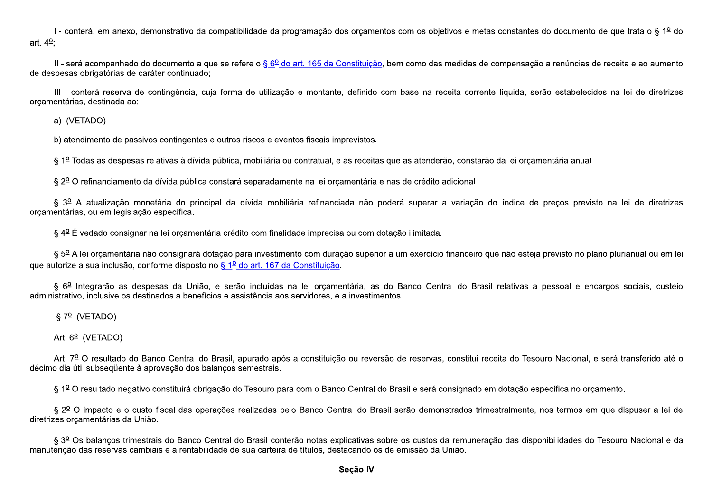I - conterá, em anexo, demonstrativo da compatibilidade da programação dos orçamentos com os objetivos e metas constantes do documento de que trata o § 1º do art.  $4^{\circ}$ :

II - será acompanhado do documento a que se refere o § 6º do art. 165 da Constituição, bem como das medidas de compensação a renúncias de receita e ao aumento de despesas obrigatórias de caráter continuado;

III - conterá reserva de contingência, cuia forma de utilização e montante, definido com base na receita corrente líguida, serão estabelecidos na lei de diretrizes orcamentárias, destinada ao:

a) (VETADO)

b) atendimento de passivos contingentes e outros riscos e eventos fiscais imprevistos.

§ 1º Todas as despesas relativas à dívida pública, mobiliária ou contratual, e as receitas que as atenderão, constarão da lei orcamentária anual.

§ 2º O refinanciamento da dívida pública constará separadamente na lei orcamentária e nas de crédito adicional.

§ 3º A atualização monetária do principal da dívida mobiliária refinanciada não poderá superar a variação do índice de precos previsto na lei de diretrizes orcamentárias, ou em legislação específica.

§ 4º É vedado consignar na lei orcamentária crédito com finalidade imprecisa ou com dotação ilimitada.

§ 5º A lei orcamentária não consignará dotação para investimento com duração superior a um exercício financeiro que não esteja previsto no plano plurianual ou em lei que autorize a sua inclusão, conforme disposto no § 1º do art. 167 da Constituição.

§ 6º Integrarão as despesas da União, e serão incluídas na lei orcamentária, as do Banco Central do Brasil relativas a pessoal e encargos sociais, custeio administrativo, inclusive os destinados a benefícios e assistência aos servidores, e a investimentos,

 $\S 7^{\circ}$  (VETADO)

Art.  $6^{\circ}$  (VETADO)

Art. 7º O resultado do Banco Central do Brasil, apurado após a constituição ou reversão de reservas, constitui receita do Tesouro Nacional, e será transferido até o décimo dia útil subsequente à aprovação dos balanços semestrais.

§ 1º O resultado negativo constituirá obrigação do Tesouro para com o Banco Central do Brasil e será consignado em dotação específica no orcamento.

§ 2º O impacto e o custo fiscal das operações realizadas pelo Banco Central do Brasil serão demonstrados trimestralmente, nos termos em que dispuser a lei de diretrizes orcamentárias da União.

§ 3º Os balanços trimestrais do Banco Central do Brasil conterão notas explicativas sobre os custos da remuneração das disponibilidades do Tesouro Nacional e da manutenção das reservas cambiais e a rentabilidade de sua carteira de títulos, destacando os de emissão da União.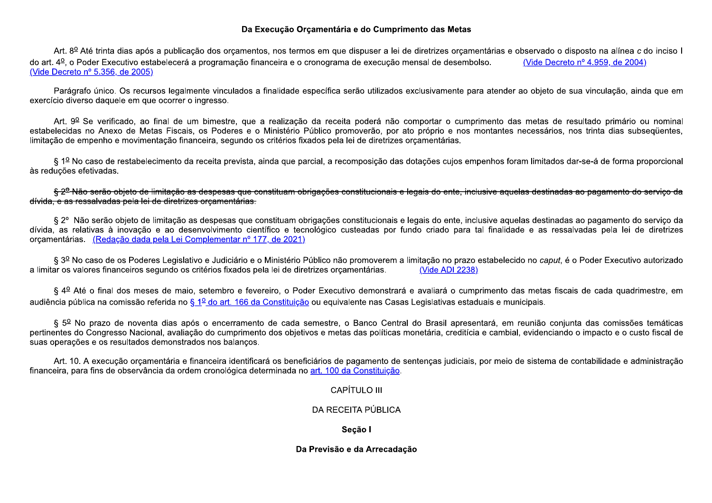### Da Execução Orçamentária e do Cumprimento das Metas

Art. 8º Até trinta dias após a publicação dos orcamentos, nos termos em que dispuser a lei de diretrizes orcamentárias e observado o disposto na alínea c do inciso I do art. 4º, o Poder Executivo estabelecerá a programação financeira e o cronograma de execução mensal de desembolso. (Vide Decreto nº 4.959, de 2004) (Vide Decreto nº 5.356, de 2005)

Parágrafo único. Os recursos legalmente vinculados a finalidade específica serão utilizados exclusivamente para atender ao objeto de sua vinculação, ainda que em exercício diverso daquele em que ocorrer o ingresso.

Art. 9º Se verificado, ao final de um bimestre, que a realização da receita poderá não comportar o cumprimento das metas de resultado primário ou nominal estabelecidas no Anexo de Metas Fiscais, os Poderes e o Ministério Público promoverão, por ato próprio e nos montantes necessários, nos trinta dias subsequentes, limitação de empenho e movimentação financeira, segundo os critérios fixados pela lei de diretrizes orcamentárias,

§ 1º No caso de restabelecimento da receita prevista, ainda que parcial, a recomposição das dotações cujos empenhos foram limitados dar-se-á de forma proporcional às reduções efetivadas.

<del>§ 2<sup>º</sup> Não serão objeto de limitação as despesas que constituam obrigações constitucionais e legais do ente, inclusive aquelas destinadas ao pagamento do servico da</del> <u>la. e as ressalvadas pela lei de diretrizes orcamentárias.</u>

§ 2° Não serão objeto de limitação as despesas que constituam obrigações constitucionais e legais do ente, inclusive aquelas destinadas ao pagamento do servico da dívida, as relativas à inovação e ao desenvolvimento científico e tecnológico custeadas por fundo criado para tal finalidade e as ressalvadas pela lei de diretrizes orçamentárias. (Redação dada pela Lei Complementar nº 177, de 2021)

§ 3º No caso de os Poderes Legislativo e Judiciário e o Ministério Público não promoverem a limitação no prazo estabelecido no caput, é o Poder Executivo autorizado a limitar os valores financeiros segundo os critérios fixados pela lei de diretrizes orcamentárias. (Vide ADI 2238)

§ 4º Até o final dos meses de maio, setembro e fevereiro, o Poder Executivo demonstrará e avaliará o cumprimento das metas fiscais de cada quadrimestre, em audiência pública na comissão referida no § 1º do art. 166 da Constituição ou equivalente nas Casas Legislativas estaduais e municipais.

§ 5º No prazo de noventa dias após o encerramento de cada semestre, o Banco Central do Brasil apresentará, em reunião conjunta das comissões temáticas pertinentes do Congresso Nacional, avaliação do cumprimento dos objetivos e metas das políticas monetária, creditícia e cambial, evidenciando o impacto e o custo fiscal de suas operações e os resultados demonstrados nos balanços.

Art. 10. A execução orcamentária e financeira identificará os beneficiários de pagamento de sentenças judiciais, por meio de sistema de contabilidade e administração financeira, para fins de observância da ordem cronológica determinada no art. 100 da Constituição.

### CAPÍTULO III

### DA RECEITA PÚBLICA

### Seção I

### Da Previsão e da Arrecadação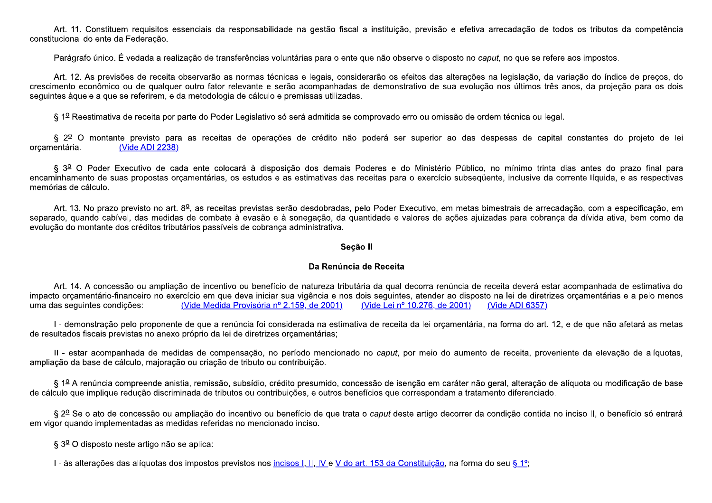Art. 11. Constituem requisitos essenciais da responsabilidade na gestão fiscal a instituição, previsão e efetiva arrecadação de todos os tributos da competência constitucional do ente da Federação.

Parágrafo único. É vedada a realização de transferências voluntárias para o ente que não observe o disposto no caput, no que se refere aos impostos.

Art. 12. As previsões de receita observarão as normas técnicas e legais, considerarão os efeitos das alterações na legislação, da variação do índice de precos, do crescimento econômico ou de qualquer outro fator relevante e serão acompanhadas de demonstrativo de sua evolução nos últimos três anos, da projeção para os dois seguintes àquele a que se referirem, e da metodologia de cálculo e premissas utilizadas.

§ 1º Reestimativa de receita por parte do Poder Legislativo só será admitida se comprovado erro ou omissão de ordem técnica ou legal.

§ 2º O montante previsto para as receitas de operações de crédito não poderá ser superior ao das despesas de capital constantes do projeto de lei (Vide ADI 2238) orcamentária.

§ 3º O Poder Executivo de cada ente colocará à disposição dos demais Poderes e do Ministério Público, no mínimo trinta dias antes do prazo final para encaminhamento de suas propostas orcamentárias, os estudos e as estimativas das receitas para o exercício subsegüente, inclusive da corrente líquida, e as respectivas memórias de cálculo.

Art. 13. No prazo previsto no art. 8º, as receitas previstas serão desdobradas, pelo Poder Executivo, em metas bimestrais de arrecadação, com a especificação, em separado, quando cabível, das medidas de combate à evasão e à sonegação, da quantidade e valores de ações ajuizadas para cobranca da dívida ativa, bem como da evolução do montante dos créditos tributários passíveis de cobrança administrativa.

### Seção II

### Da Renúncia de Receita

Art. 14. A concessão ou ampliação de incentivo ou benefício de natureza tributária da qual decorra renúncia de receita deverá estar acompanhada de estimativa do impacto orcamentário-financeiro no exercício em que deva iniciar sua vigência e nos dois sequintes, atender ao disposto na lei de diretrizes orcamentárias e a pelo menos (Vide Medida Provisória nº 2.159, de 2001) (Vide Lei nº 10.276, de 2001) uma das seguintes condições: (Vide ADI 6357)

I - demonstração pelo proponente de que a renúncia foi considerada na estimativa de receita da lei orcamentária, na forma do art. 12, e de que não afetará as metas de resultados fiscais previstas no anexo próprio da lei de diretrizes orcamentárias;

II - estar acompanhada de medidas de compensação, no período mencionado no caput, por meio do aumento de receita, proveniente da elevação de alíquotas, ampliação da base de cálculo, majoração ou criação de tributo ou contribuição.

§ 1º A renúncia compreende anistia, remissão, subsídio, crédito presumido, concessão de isenção em caráter não geral, alteração de alíquota ou modificação de base de cálculo que implique redução discriminada de tributos ou contribuições, e outros benefícios que correspondam a tratamento diferenciado.

§ 2º Se o ato de concessão ou ampliação do incentivo ou benefício de que trata o caput deste artigo decorrer da condição contida no inciso II, o benefício só entrará em vigor quando implementadas as medidas referidas no mencionado inciso.

§ 3º O disposto neste artigo não se aplica:

I - às alterações das alíquotas dos impostos previstos nos incisos I, II, IV e V do art. 153 da Constituição, na forma do seu § 1º;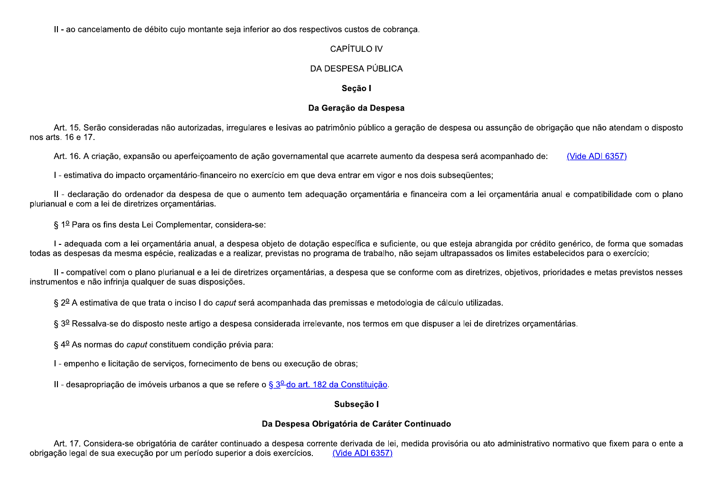II - ao cancelamento de débito cujo montante seja inferior ao dos respectivos custos de cobrança.

# **CAPÍTULO IV**

# DA DESPESA PÚBLICA

### Seção I

# Da Geração da Despesa

Art. 15. Serão consideradas não autorizadas, irregulares e lesivas ao patrimônio público a geração de despesa ou assunção de obrigação que não atendam o disposto nos arts.  $16 \text{ e } 17$ .

Art. 16. A criação, expansão ou aperfeicoamento de ação governamental que acarrete aumento da despesa será acompanhado de:

(Vide ADI 6357)

I - estimativa do impacto orcamentário-financeiro no exercício em que deva entrar em vigor e nos dois subsequentes;

II - declaração do ordenador da despesa de que o aumento tem adequação orçamentária e financeira com a lei orçamentária anual e compatibilidade com o plano plurianual e com a lei de diretrizes orcamentárias.

§ 1º Para os fins desta Lei Complementar, considera-se:

I - adeguada com a lei orcamentária anual, a despesa objeto de dotação específica e suficiente, ou que esteja abrangida por crédito genérico, de forma que somadas todas as despesas da mesma espécie, realizadas e a realizar, previstas no programa de trabalho, não sejam ultrapassados os limites estabelecidos para o exercício;

Il - compatível com o plano plurianual e a lei de diretrizes orcamentárias, a despesa que se conforme com as diretrizes, objetivos, prioridades e metas previstos nesses instrumentos e não infrinja qualquer de suas disposições.

§ 2º A estimativa de que trata o inciso I do caput será acompanhada das premissas e metodologia de cálculo utilizadas.

§ 3º Ressalva-se do disposto neste artigo a despesa considerada irrelevante, nos termos em que dispuser a lei de diretrizes orcamentárias.

§ 4º As normas do caput constituem condição prévia para:

I - empenho e licitação de servicos, fornecimento de bens ou execução de obras;

II - desapropriação de imóveis urbanos a que se refere o §  $3^{\circ}$ do art. 182 da Constituição.

# Subseção I

# Da Despesa Obrigatória de Caráter Continuado

Art. 17. Considera-se obrigatória de caráter continuado a despesa corrente derivada de lei, medida provisória ou ato administrativo normativo que fixem para o ente a obrigação legal de sua execução por um período superior a dois exercícios. (Vide ADI 6357)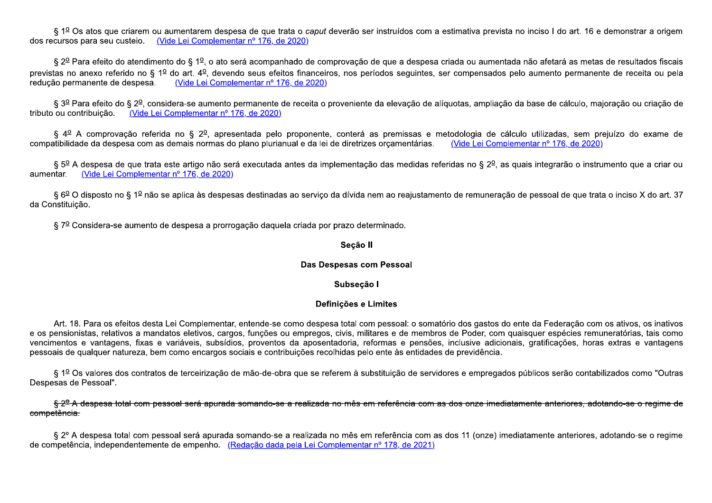§ 1º Os atos que criarem ou aumentarem despesa de que trata o caput deverão ser instruídos com a estimativa prevista no inciso I do art. 16 e demonstrar a origem dos recursos para seu custeio. (Vide Lei Complementar nº 176, de 2020)

§ 2º Para efeito do atendimento do § 1º, o ato será acompanhado de comprovação de que a despesa criada ou aumentada não afetará as metas de resultados fiscais previstas no anexo referido no § 1º do art. 4º, devendo seus efeitos financeiros, nos períodos seguintes, ser compensados pelo aumento permanente de receita ou pela (Vide Lei Complementar nº 176, de 2020) redução permanente de despesa.

§ 3º Para efeito do § 2º, considera-se aumento permanente de receita o proveniente da elevação de alíquotas, ampliação da base de cálculo, majoração ou criação de tributo ou contribuicão. (Vide Lei Complementar nº 176, de 2020)

§ 4º A comprovação referida no § 2º, apresentada pelo proponente, conterá as premissas e metodologia de cálculo utilizadas, sem prejuízo do exame de compatibilidade da despesa com as demais normas do plano plurianual e da lei de diretrizes orcamentárias. (Vide Lei Complementar nº 176, de 2020)

§ 5º A despesa de que trata este artigo não será executada antes da implementação das medidas referidas no § 2º, as quais integrarão o instrumento que a criar ou aumentar. (Vide Lei Complementar nº 176, de 2020)

§ 6º O disposto no § 1º não se aplica às despesas destinadas ao servico da dívida nem ao reajustamento de remuneração de pessoal de que trata o inciso X do art. 37 da Constituição.

§ 7º Considera-se aumento de despesa a prorrogação daquela criada por prazo determinado.

#### Seção II

#### Das Despesas com Pessoal

#### Subseção I

### Definições e Limites

Art. 18. Para os efeitos desta Lei Complementar, entende-se como despesa total com pessoal: o somatório dos gastos do ente da Federação com os ativos, os inativos e os pensionistas, relativos a mandatos eletivos, cargos, funções ou empregos, civis, militares e de membros de Poder, com quaisquer espécies remuneratórias, tais como vencimentos e vantagens, fixas e variáveis, subsídios, proventos da aposentadoria, reformas e pensões, inclusive adicionais, gratificações, horas extras e vantagens pessoais de qualquer natureza, bem como encargos sociais e contribuições recolhidas pelo ente às entidades de previdência.

§ 1º Os valores dos contratos de terceirização de mão-de-obra que se referem à substituição de servidores e empregados públicos serão contabilizados como "Outras Despesas de Pessoal".

<del>. despesa total com pessoal será apurada somando-se a realizada no mês em referência com as dos onze imediatamente anteriores, adotando-se o regime de</del> <del>competência.</del>

§ 2º A despesa total com pessoal será apurada somando-se a realizada no mês em referência com as dos 11 (onze) imediatamente anteriores, adotando-se o regime de competência, independentemente de empenho. (Redação dada pela Lei Complementar nº 178, de 2021)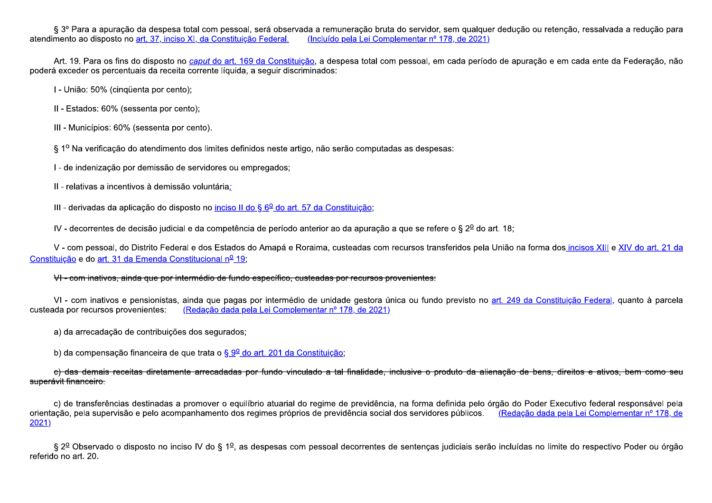§ 3º Para a apuração da despesa total com pessoal, será observada a remuneração bruta do servidor, sem qualquer dedução ou retenção, ressalvada a redução para atendimento ao disposto no art. 37. inciso XI. da Constituição Federal. (Incluído pela Lei Complementar nº 178, de 2021)

Art. 19. Para os fins do disposto no caput do art. 169 da Constituição, a despesa total com pessoal, em cada período de apuração e em cada ente da Federação, não poderá exceder os percentuais da receita corrente líquida, a seguir discriminados:

I - União: 50% (cinquenta por cento);

- II Estados: 60% (sessenta por cento);
- III Municípios: 60% (sessenta por cento).

§ 1º Na verificação do atendimento dos limites definidos neste artigo, não serão computadas as despesas:

I - de indenização por demissão de servidores ou empregados;

- II relativas a incentivos à demissão voluntária;
- III derivadas da aplicação do disposto no inciso II do § 6º do art. 57 da Constituição;

IV - decorrentes de decisão judicial e da competência de período anterior ao da apuração a que se refere o § 2º do art. 18;

V - com pessoal, do Distrito Federal e dos Estados do Amapá e Roraima, custeadas com recursos transferidos pela União na forma dos incisos XIII e XIV do art. 21 da Constituição e do art. 31 da Emenda Constitucional nº 19;

### <u>- com inativos, ainda que por intermédio de fundo específico, custeadas por recursos provenientes:</u>

VI - com inativos e pensionistas, ainda que pagas por intermédio de unidade gestora única ou fundo previsto no art. 249 da Constituição Federal, quanto à parcela custeada por recursos provenientes: (Redação dada pela Lei Complementar nº 178, de 2021)

- a) da arrecadação de contribuições dos segurados;
- b) da compensação financeira de que trata o § 9º do art. 201 da Constituição;

#### c) das demais receitas diretamente arrecadadas por fundo vinculado a tal finalidade, inclusive o produto da alienação de bens, direitos e ativos, superávit financeiro.

c) de transferências destinadas a promover o equilíbrio atuarial do regime de previdência, na forma definida pelo órgão do Poder Executivo federal responsável pela (Redação dada pela Lei Complementar nº 178, de orientação, pela supervisão e pelo acompanhamento dos regimes próprios de previdência social dos servidores públicos.  $2021)$ 

§ 2º Observado o disposto no inciso IV do § 1º, as despesas com pessoal decorrentes de sentenças judiciais serão incluídas no limite do respectivo Poder ou órgão referido no art. 20.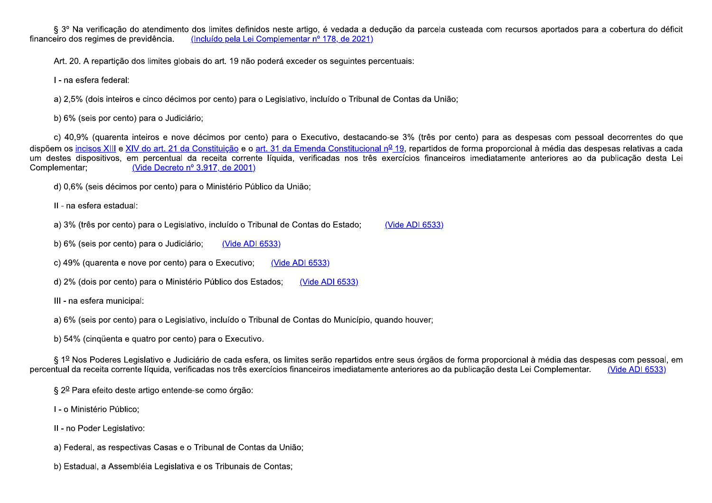§ 3º Na verificação do atendimento dos limites definidos neste artigo, é vedada a dedução da parcela custeada com recursos aportados para a cobertura do déficit financeiro dos regimes de previdência. (Incluído pela Lei Complementar nº 178, de 2021)

Art. 20. A repartição dos limites globais do art. 19 não poderá exceder os seguintes percentuais:

I - na esfera federal:

a) 2,5% (dois inteiros e cinco décimos por cento) para o Legislativo, incluído o Tribunal de Contas da União;

b) 6% (seis por cento) para o Judiciário:

c) 40,9% (quarenta inteiros e nove décimos por cento) para o Executivo, destacando-se 3% (três por cento) para as despesas com pessoal decorrentes do que dispõem os incisos XIII e XIV do art. 21 da Constituição e o art. 31 da Emenda Constitucional nº 19, repartidos de forma proporcional à média das despesas relativas a cada um destes dispositivos, em percentual da receita corrente líquida, verificadas nos três exercícios financeiros imediatamente anteriores ao da publicação desta Lei (Vide Decreto nº 3.917, de 2001) Complementar:

d) 0.6% (seis décimos por cento) para o Ministério Público da União;

II - na esfera estadual:

a) 3% (três por cento) para o Legislativo, incluído o Tribunal de Contas do Estado; (Vide ADI 6533)

b) 6% (seis por cento) para o Judiciário; (Vide ADI 6533)

c) 49% (quarenta e nove por cento) para o Executivo; (Vide ADI 6533)

d) 2% (dois por cento) para o Ministério Público dos Estados; (Vide ADI 6533)

III - na esfera municipal:

a) 6% (seis por cento) para o Legislativo, incluído o Tribunal de Contas do Município, quando houver;

b) 54% (cinquenta e quatro por cento) para o Executivo.

§ 1º Nos Poderes Legislativo e Judiciário de cada esfera, os limites serão repartidos entre seus órgãos de forma proporcional à média das despesas com pessoal, em percentual da receita corrente líquida, verificadas nos três exercícios financeiros imediatamente anteriores ao da publicação desta Lei Complementar. (Vide ADI 6533)

§ 2º Para efeito deste artigo entende-se como órgão:

I - o Ministério Público;

II - no Poder Legislativo:

a) Federal, as respectivas Casas e o Tribunal de Contas da União;

b) Estadual, a Assembléia Legislativa e os Tribunais de Contas;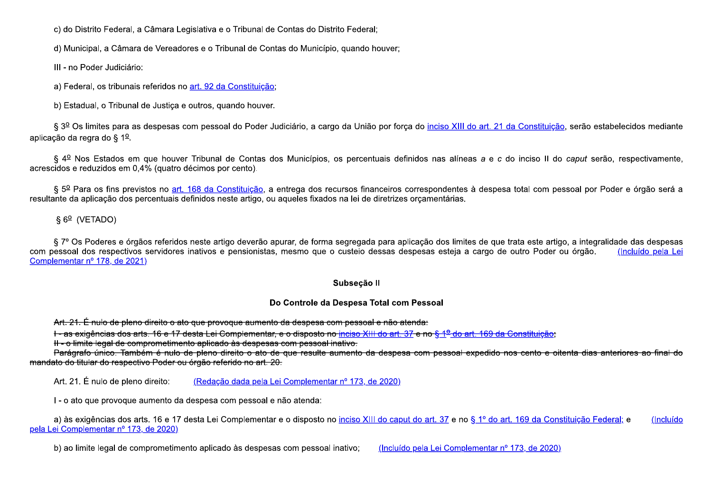c) do Distrito Federal, a Câmara Legislativa e o Tribunal de Contas do Distrito Federal;

d) Municipal, a Câmara de Vereadores e o Tribunal de Contas do Município, quando houver;

III - no Poder Judiciário:

a) Federal, os tribunais referidos no art. 92 da Constituição;

b) Estadual, o Tribunal de Justiça e outros, quando houver.

§ 3º Os limites para as despesas com pessoal do Poder Judiciário, a cargo da União por forca do inciso XIII do art. 21 da Constituição, serão estabelecidos mediante aplicação da regra do § 1º.

§ 4º Nos Estados em que houver Tribunal de Contas dos Municípios, os percentuais definidos nas alíneas a e c do inciso II do caput serão, respectivamente, acrescidos e reduzidos em 0,4% (quatro décimos por cento).

§ 5º Para os fins previstos no art. 168 da Constituição, a entrega dos recursos financeiros correspondentes à despesa total com pessoal por Poder e órgão será a resultante da aplicação dos percentuais definidos neste artigo, ou aqueles fixados na lei de diretrizes orcamentárias.

 $§ 6^{\circ}$  (VETADO)

§ 7º Os Poderes e órgãos referidos neste artigo deverão apurar, de forma segregada para aplicação dos limites de que trata este artigo, a integralidade das despesas com pessoal dos respectivos servidores inativos e pensionistas, mesmo que o custeio dessas despesas esteja a cargo de outro Poder ou órgão. (Incluído pela Lei Complementar nº 178, de 2021)

### Subseção II

### Do Controle da Despesa Total com Pessoal

<u>nulo de pleno direito o ato que provoque aumento da despesa com pessoal e não atenda</u>

. 16 e 17 desta Lei Complementar, e o disposto no <u>inciso XIII do art.</u>

o limite legal de comprometimento aplicado às despesas com pessoal inativo.

Parágrafo único. Também é nulo de pleno direito o ato de que resulte aumento da despesa com pessoal expedido nos cento e <del>oitenta dias anteriores</del> mandato do titular do respectivo Poder ou órgão referido no art. 20.

Art. 21. É nulo de pleno direito: (Redação dada pela Lei Complementar nº 173, de 2020)

I - o ato que provoque aumento da despesa com pessoal e não atenda:

a) às exigências dos arts. 16 e 17 desta Lei Complementar e o disposto no inciso XIII do caput do art. 37 e no § 1º do art. 169 da Constituição Federal; e *(Incluído)* pela Lei Complementar nº 173, de 2020)

(Incluído pela Lei Complementar nº 173, de 2020) b) ao limite legal de comprometimento aplicado às despesas com pessoal inativo;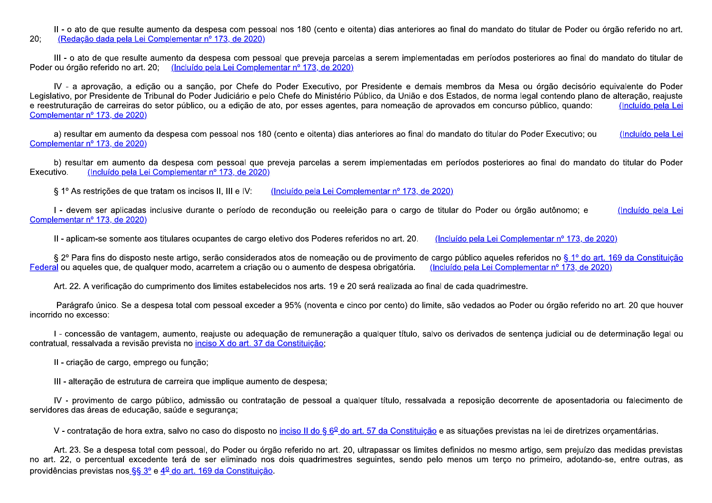Il - o ato de que resulte aumento da despesa com pessoal nos 180 (cento e oitenta) dias anteriores ao final do mandato do titular de Poder ou órgão referido no art. (Redação dada pela Lei Complementar nº 173, de 2020)  $20:$ 

III - o ato de que resulte aumento da despesa com pessoal que preveja parcelas a serem implementadas em períodos posteriores ao final do mandato do titular de Poder ou órgão referido no art. 20: (Incluído pela Lei Complementar nº 173, de 2020)

IV - a aprovação, a edição ou a sanção, por Chefe do Poder Executivo, por Presidente e demais membros da Mesa ou órgão decisório equivalente do Poder Legislativo, por Presidente de Tribunal do Poder Judiciário e pelo Chefe do Ministério Público, da União e dos Estados, de norma legal contendo plano de alteração, reaiuste e reestruturação de carreiras do setor público, ou a edição de ato, por esses agentes, para nomeação de aprovados em concurso público, quando: (Incluído pela Lei Complementar nº 173, de 2020)

a) resultar em aumento da despesa com pessoal nos 180 (cento e oitenta) dias anteriores ao final do mandato do titular do Poder Executivo; ou (Incluído pela Lei Complementar nº 173, de 2020)

b) resultar em aumento da despesa com pessoal que preveja parcelas a serem implementadas em períodos posteriores ao final do mandato do titular do Poder (Incluído pela Lei Complementar nº 173, de 2020) Executivo.

§ 1º As restrições de que tratam os incisos II, III e IV: (Incluído pela Lei Complementar nº 173, de 2020)

I - devem ser aplicadas inclusive durante o período de recondução ou reeleição para o cargo de titular do Poder ou órgão autônomo; e (Incluído pela Lei Complementar nº 173, de 2020)

II - aplicam-se somente aos titulares ocupantes de cargo eletivo dos Poderes referidos no art. 20. (Incluído pela Lei Complementar nº 173, de 2020)

§ 2º Para fins do disposto neste artigo, serão considerados atos de nomeação ou de provimento de cargo público aqueles referidos no § 1º do art. 169 da Constituição Federal ou aqueles que, de qualquer modo, acarretem a criação ou o aumento de despesa obrigatória. (Incluído pela Lei Complementar nº 173, de 2020)

Art. 22. A verificação do cumprimento dos limites estabelecidos nos arts. 19 e 20 será realizada ao final de cada quadrimestre.

Parágrafo único. Se a despesa total com pessoal exceder a 95% (noventa e cinco por cento) do limite, são vedados ao Poder ou órgão referido no art. 20 que houver incorrido no excesso:

I - concessão de vantagem, aumento, reajuste ou adeguação de remuneração a gualguer título, salvo os derivados de sentença judicial ou de determinação legal ou contratual, ressalvada a revisão prevista no inciso X do art. 37 da Constituição;

II - criação de cargo, emprego ou função;

III - alteração de estrutura de carreira que implique aumento de despesa;

IV - provimento de cargo público, admissão ou contratação de pessoal a qualquer título, ressalvada a reposição decorrente de aposentadoria ou falecimento de servidores das áreas de educação, saúde e segurança;

V - contratação de hora extra, salvo no caso do disposto no inciso II do § 6º do art. 57 da Constituição e as situações previstas na lei de diretrizes orçamentárias.

Art. 23. Se a despesa total com pessoal, do Poder ou órgão referido no art. 20, ultrapassar os limites definidos no mesmo artigo, sem prejuízo das medidas previstas no art. 22, o percentual excedente terá de ser eliminado nos dois quadrimestres seguintes, sendo pelo menos um terço no primeiro, adotando-se, entre outras, as providências previstas nos §§ 3º e 4º do art. 169 da Constituição.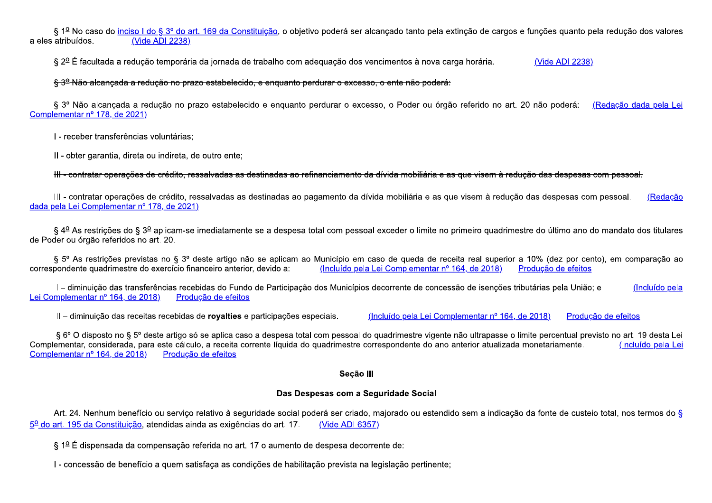§ 1º No caso do inciso I do § 3º do art. 169 da Constituição, o obietivo poderá ser alcancado tanto pela extinção de cargos e funções quanto pela redução dos valores a eles atribuídos. (Vide ADI 2238)

§ 2º É facultada a redução temporária da jornada de trabalho com adequação dos vencimentos à nova carga horária. (Vide ADI 2238)

<del>§ 3º Não alcançada a redução no prazo estabelecido, e enquanto perdurar o excesso, o ente não poderá:</del>

§ 3º Não alcançada a redução no prazo estabelecido e enquanto perdurar o excesso, o Poder ou órgão referido no art. 20 não poderá: (Redação dada pela Lei Complementar nº 178, de 2021)

I - receber transferências voluntárias:

II - obter garantia, direta ou indireta, de outro ente;

<del>III - contratar operações de crédito, ressalvadas as destinadas ao refinanciamento da dívida mobiliária e as que visem à redução das despesas con</del>

III - contratar operações de crédito, ressalvadas as destinadas ao pagamento da dívida mobiliária e as que visem à redução das despesas com pessoal. (Redacão dada pela Lei Complementar nº 178, de 2021)

§ 4º As restrições do § 3º aplicam-se imediatamente se a despesa total com pessoal exceder o limite no primeiro quadrimestre do último ano do mandato dos titulares de Poder ou órgão referidos no art. 20.

§ 5° As restrições previstas no § 3° deste artigo não se aplicam ao Município em caso de queda de receita real superior a 10% (dez por cento), em comparação ao correspondente quadrimestre do exercício financeiro anterior, devido a: (Incluído pela Lei Complementar nº 164, de 2018) Produção de efeitos

I - diminuição das transferências recebidas do Fundo de Participação dos Municípios decorrente de concessão de isenções tributárias pela União; e (Incluído pela Lei Complementar nº 164, de 2018) Produção de efeitos

II – diminuição das receitas recebidas de rovalties e participações especiais.

(Incluído pela Lei Complementar nº 164, de 2018) Produção de efeitos

§ 6° O disposto no § 5° deste artigo só se aplica caso a despesa total com pessoal do quadrimestre vigente não ultrapasse o limite percentual previsto no art. 19 desta Lei Complementar, considerada, para este cálculo, a receita corrente líquida do quadrimestre correspondente do ano anterior atualizada monetariamente. (Incluído pela Lei Complementar nº 164, de 2018) Produção de efeitos

#### Secão III

#### Das Despesas com a Seguridade Social

Art. 24. Nenhum benefício ou serviço relativo à seguridade social poderá ser criado, majorado ou estendido sem a indicação da fonte de custeio total, nos termos do § 5<sup>0</sup> do art. 195 da Constituição, atendidas ainda as exigências do art. 17. (Vide ADI 6357)

§ 1º É dispensada da compensação referida no art. 17 o aumento de despesa decorrente de:

I - concessão de benefício a quem satisfaça as condições de habilitação prevista na legislação pertinente;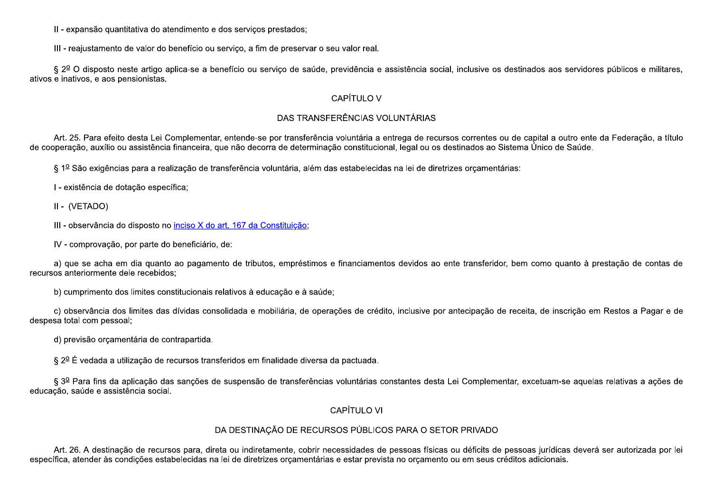II - expansão quantitativa do atendimento e dos serviços prestados;

III - reajustamento de valor do benefício ou serviço, a fim de preservar o seu valor real.

§ 2º O disposto neste artigo aplica-se a benefício ou servico de saúde, previdência e assistência social, inclusive os destinados aos servidores públicos e militares, ativos e inativos, e aos pensionistas.

### **CAPÍTULO V**

# DAS TRANSFERÊNCIAS VOLUNTÁRIAS

Art. 25. Para efeito desta Lei Complementar, entende-se por transferência voluntária a entrega de recursos correntes ou de capital a outro ente da Federação, a título de cooperação, auxílio ou assistência financeira, que não decorra de determinação constitucional, legal ou os destinados ao Sistema Único de Saúde.

§ 1º São exigências para a realização de transferência voluntária, além das estabelecidas na lei de diretrizes orcamentárias:

I - existência de dotação específica;

II - (VETADO)

III - observância do disposto no inciso X do art. 167 da Constituição;

IV - comprovação, por parte do beneficiário, de:

a) que se acha em dia quanto ao pagamento de tributos, empréstimos e financiamentos devidos ao ente transferidor, bem como quanto à prestação de contas de recursos anteriormente dele recebidos:

b) cumprimento dos limites constitucionais relativos à educação e à saúde;

c) observância dos limites das dívidas consolidada e mobiliária, de operações de crédito, inclusive por antecipação de receita, de inscrição em Restos a Pagar e de despesa total com pessoal;

d) previsão orcamentária de contrapartida.

§ 2º É vedada a utilização de recursos transferidos em finalidade diversa da pactuada.

§ 3º Para fins da aplicação das sanções de suspensão de transferências voluntárias constantes desta Lei Complementar, excetuam-se aquelas relativas a ações de educação, saúde e assistência social.

# CAPÍTULO VI

# DA DESTINAÇÃO DE RECURSOS PÚBLICOS PARA O SETOR PRIVADO

Art. 26. A destinação de recursos para, direta ou indiretamente, cobrir necessidades de pessoas físicas ou déficits de pessoas jurídicas deverá ser autorizada por lei específica, atender às condições estabelecidas na lei de diretrizes orçamentárias e estar prevista no orçamento ou em seus créditos adicionais.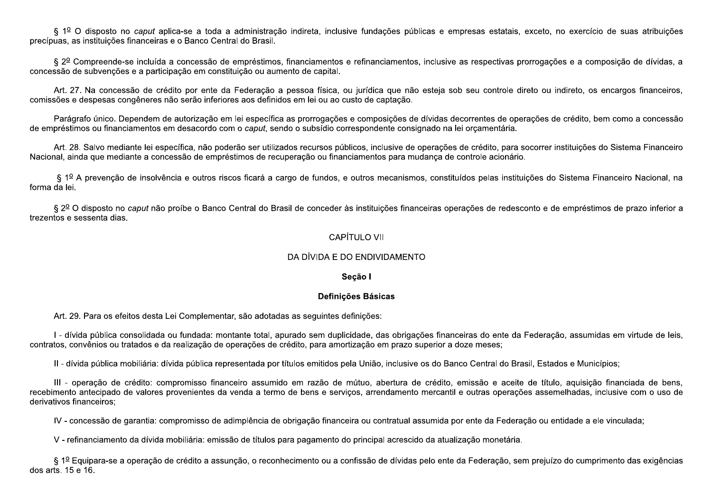§ 1º O disposto no caput aplica-se a toda a administração indireta, inclusive fundações públicas e empresas estatais, exceto, no exercício de suas atribuições precípuas, as instituições financeiras e o Banco Central do Brasil.

§ 2º Compreende-se incluída a concessão de empréstimos, financiamentos e refinanciamentos, inclusive as respectivas prorrogações e a composição de dívidas, a concessão de subvencões e a participação em constituição ou aumento de capital.

Art. 27. Na concessão de crédito por ente da Federação a pessoa física, ou jurídica que não esteja sob seu controle direto ou indireto, os encargos financeiros, comissões e despesas congêneres não serão inferiores aos definidos em lei ou ao custo de captação.

Parágrafo único. Dependem de autorização em lei específica as prorrogações e composições de dívidas decorrentes de operações de crédito, bem como a concessão de empréstimos ou financiamentos em desacordo com o caput, sendo o subsídio correspondente consignado na lei orcamentária.

Art. 28. Salvo mediante lei específica, não poderão ser utilizados recursos públicos, inclusive de operações de crédito, para socorrer instituições do Sistema Financeiro Nacional, ainda que mediante a concessão de empréstimos de recuperação ou financiamentos para mudança de controle acionário.

§ 1º A prevenção de insolvência e outros riscos ficará a cargo de fundos, e outros mecanismos, constituídos pelas instituições do Sistema Financeiro Nacional, na forma da lei

§ 2º O disposto no caput não proíbe o Banco Central do Brasil de conceder às instituições financeiras operações de redesconto e de empréstimos de prazo inferior a trezentos e sessenta dias.

### **CAPÍTULO VII**

#### DA DÍVIDA E DO ENDIVIDAMENTO

#### Seção I

#### **Definições Básicas**

Art. 29. Para os efeitos desta Lei Complementar, são adotadas as seguintes definições:

I - dívida pública consolidada ou fundada: montante total, apurado sem duplicidade, das obrigações financeiras do ente da Federação, assumidas em virtude de leis, contratos, convênios ou tratados e da realização de operações de crédito, para amortização em prazo superior a doze meses;

II - dívida pública mobiliária: dívida pública representada por títulos emitidos pela União, inclusive os do Banco Central do Brasil, Estados e Municípios;

III - operação de crédito: compromisso financeiro assumido em razão de mútuo, abertura de crédito, emissão e aceite de título, aquisição financiada de bens, recebimento antecipado de valores provenientes da venda a termo de bens e servicos, arrendamento mercantil e outras operações assemelhadas, inclusive com o uso de derivativos financeiros;

IV - concessão de garantia: compromisso de adimplência de obrigação financeira ou contratual assumida por ente da Federação ou entidade a ele vinculada;

V - refinanciamento da dívida mobiliária: emissão de títulos para pagamento do principal acrescido da atualização monetária.

§ 1º Equipara-se a operação de crédito a assunção, o reconhecimento ou a confissão de dívidas pelo ente da Federação, sem prejuízo do cumprimento das exigências dos arts. 15 e 16.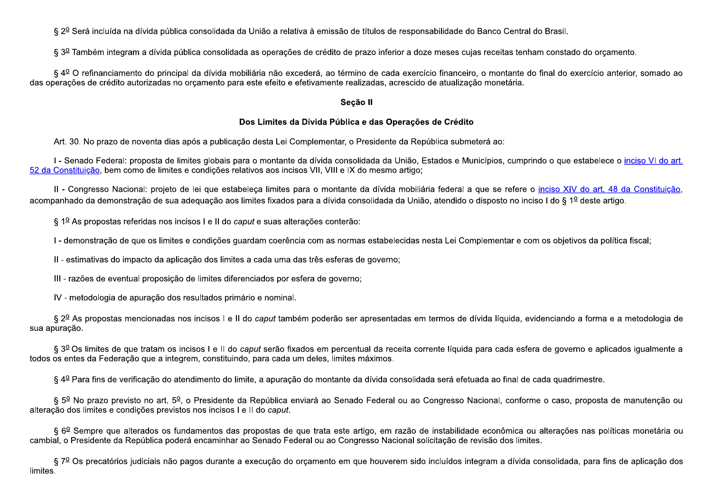§ 2º Será incluída na dívida pública consolidada da União a relativa à emissão de títulos de responsabilidade do Banco Central do Brasil.

§ 3º Também integram a dívida pública consolidada as operações de crédito de prazo inferior a doze meses cujas receitas tenham constado do orçamento.

§ 4º O refinanciamento do principal da dívida mobiliária não excederá, ao término de cada exercício financeiro, o montante do final do exercício anterior, somado ao das operações de crédito autorizadas no orcamento para este efeito e efetivamente realizadas, acrescido de atualização monetária.

### Secão II

### Dos Limites da Dívida Pública e das Operações de Crédito

Art. 30. No prazo de noventa dias após a publicação desta Lei Complementar, o Presidente da República submeterá ao:

I - Senado Federal: proposta de limites globais para o montante da dívida consolidada da União, Estados e Municípios, cumprindo o que estabelece o inciso VI do art. 52 da Constituição, bem como de limites e condições relativos aos incisos VII, VIII e IX do mesmo artigo;

Il - Congresso Nacional: projeto de lei que estabeleca limites para o montante da dívida mobiliária federal a que se refere o inciso XIV do art. 48 da Constituição, acompanhado da demonstração de sua adeguação aos limites fixados para a dívida consolidada da União, atendido o disposto no inciso I do § 1º deste artigo.

§ 1º As propostas referidas nos incisos I e II do caput e suas alterações conterão:

I - demonstração de que os limites e condições quardam coerência com as normas estabelecidas nesta Lei Complementar e com os objetivos da política fiscal;

II - estimativas do impacto da aplicação dos limites a cada uma das três esferas de governo;

III - razões de eventual proposição de limites diferenciados por esfera de governo;

IV - metodologia de apuração dos resultados primário e nominal.

§ 2º As propostas mencionadas nos incisos I e II do caput também poderão ser apresentadas em termos de dívida líquida, evidenciando a forma e a metodologia de sua apuração.

§ 3º Os limites de que tratam os incisos I e II do caput serão fixados em percentual da receita corrente líquida para cada esfera de governo e aplicados igualmente a todos os entes da Federação que a integrem, constituindo, para cada um deles, limites máximos.

§ 4º Para fins de verificação do atendimento do limite, a apuração do montante da dívida consolidada será efetuada ao final de cada quadrimestre.

§ 5º No prazo previsto no art. 5º, o Presidente da República enviará ao Senado Federal ou ao Congresso Nacional, conforme o caso, proposta de manutenção ou alteração dos limites e condições previstos nos incisos I e II do caput.

§ 6º Sempre que alterados os fundamentos das propostas de que trata este artigo, em razão de instabilidade econômica ou alterações nas políticas monetária ou cambial, o Presidente da República poderá encaminhar ao Senado Federal ou ao Congresso Nacional solicitação de revisão dos limites.

§ 7º Os precatórios judiciais não pagos durante a execução do orçamento em que houverem sido incluídos integram a dívida consolidada, para fins de aplicação dos limites.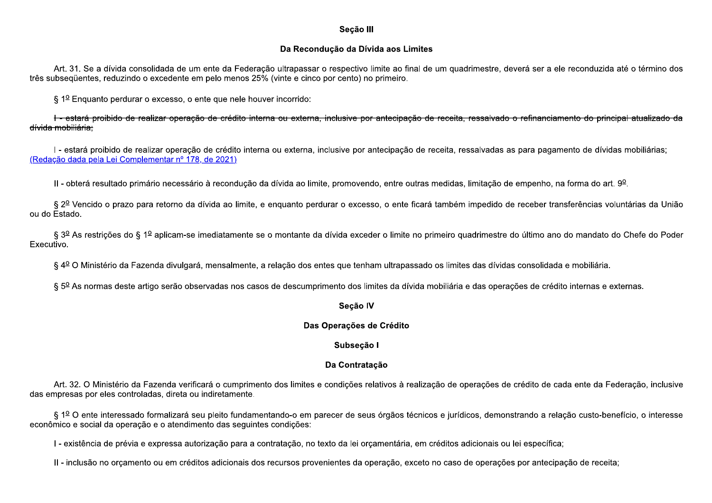#### Seção III

#### Da Recondução da Dívida aos Limites

Art. 31. Se a dívida consolidada de um ente da Federação ultrapassar o respectivo limite ao final de um quadrimestre, deverá ser a ele reconduzida até o término dos três subsequentes, reduzindo o excedente em pelo menos 25% (vinte e cinco por cento) no primeiro.

 $\S$  1º Enguanto perdurar o excesso, o ente que nele houver incorrido:

<del>I - estará proibido de realizar operação de crédito interna ou externa, inclusive por antecipação de receita, ressalvado o refinanciamento do principal atualizado da</del> <del>vida mobiliária:</del>

I - estará proibido de realizar operação de crédito interna ou externa, inclusive por antecipação de receita, ressalvadas as para pagamento de dívidas mobiliárias; (Redação dada pela Lei Complementar nº 178, de 2021)

II - obterá resultado primário necessário à recondução da dívida ao limite, promovendo, entre outras medidas, limitação de empenho, na forma do art. 9º,

§ 2º Vencido o prazo para retorno da dívida ao limite, e enquanto perdurar o excesso, o ente ficará também impedido de receber transferências voluntárias da União ou do Estado.

§ 3º As restricões do § 1º aplicam-se imediatamente se o montante da dívida exceder o limite no primeiro quadrimestre do último ano do mandato do Chefe do Poder Executivo.

§ 4º O Ministério da Fazenda divulgará, mensalmente, a relação dos entes que tenham ultrapassado os limites das dívidas consolidada e mobiliária.

§ 5º As normas deste artigo serão observadas nos casos de descumprimento dos limites da dívida mobiliária e das operações de crédito internas e externas.

### Secão IV

### Das Operações de Crédito

### Subseção I

### Da Contratação

Art. 32. O Ministério da Fazenda verificará o cumprimento dos limites e condições relativos à realização de operações de crédito de cada ente da Federação, inclusive das empresas por eles controladas, direta ou indiretamente.

§ 1º O ente interessado formalizará seu pleito fundamentando-o em parecer de seus órgãos técnicos e jurídicos, demonstrando a relação custo-benefício, o interesse econômico e social da operação e o atendimento das seguintes condições:

I - existência de prévia e expressa autorização para a contratação, no texto da lei orcamentária, em créditos adicionais ou lei específica;

II - inclusão no orçamento ou em créditos adicionais dos recursos provenientes da operação, exceto no caso de operações por antecipação de receita;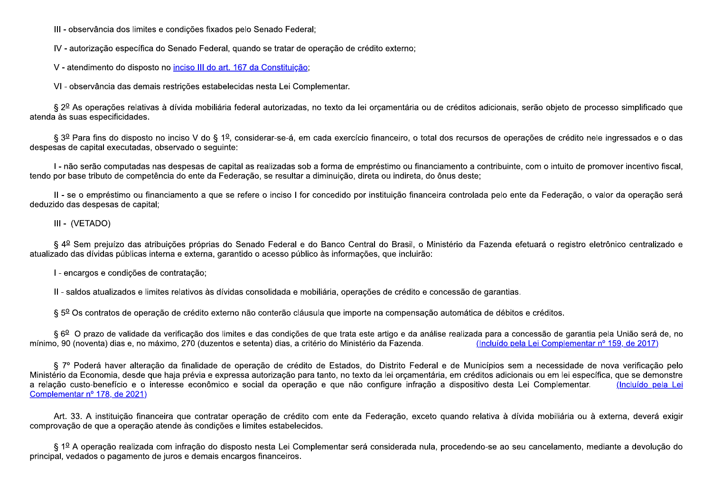III - observância dos limites e condições fixados pelo Senado Federal;

IV - autorização específica do Senado Federal, quando se tratar de operação de crédito externo;

V - atendimento do disposto no inciso III do art. 167 da Constituição;

VI - observância das demais restrições estabelecidas nesta Lei Complementar.

§ 2º As operações relativas à dívida mobiliária federal autorizadas, no texto da lei orcamentária ou de créditos adicionais, serão objeto de processo simplificado que atenda às suas especificidades.

§ 3º Para fins do disposto no inciso V do § 1º, considerar-se-á, em cada exercício financeiro, o total dos recursos de operações de crédito nele ingressados e o das despesas de capital executadas, observado o seguinte:

I - não serão computadas nas despesas de capital as realizadas sob a forma de empréstimo ou financiamento a contribuinte, com o intuito de promover incentivo fiscal, tendo por base tributo de competência do ente da Federação, se resultar a diminuição, direta ou indireta, do ônus deste;

II - se o empréstimo ou financiamento a que se refere o inciso I for concedido por instituição financeira controlada pelo ente da Federação, o valor da operação será deduzido das despesas de capital:

#### III - (VETADO)

§ 4º Sem prejuízo das atribuições próprias do Senado Federal e do Banco Central do Brasil, o Ministério da Fazenda efetuará o registro eletrônico centralizado e atualizado das dívidas públicas interna e externa, garantido o acesso público às informações, que incluirão:

I - encargos e condições de contratação;

II - saldos atualizados e limites relativos às dívidas consolidada e mobiliária, operações de crédito e concessão de garantias.

§ 5º Os contratos de operação de crédito externo não conterão cláusula que importe na compensação automática de débitos e créditos.

§ 6º O prazo de validade da verificação dos limites e das condições de que trata este artigo e da análise realizada para a concessão de garantia pela União será de, no mínimo, 90 (noventa) dias e, no máximo, 270 (duzentos e setenta) dias, a critério do Ministério da Fazenda. (Incluído pela Lei Complementar nº 159, de 2017)

§ 7º Poderá haver alteração da finalidade de operação de crédito de Estados, do Distrito Federal e de Municípios sem a necessidade de nova verificação pelo Ministério da Economia, desde que haja prévia e expressa autorização para tanto, no texto da lei orcamentária, em créditos adicionais ou em lei específica, que se demonstre a relação custo-benefício e o interesse econômico e social da operação e que não configure infração a dispositivo desta Lei Complementar. (Incluído pela Lei Complementar nº 178, de 2021)

Art. 33. A instituição financeira que contratar operação de crédito com ente da Federação, exceto quando relativa à dívida mobiliária ou à externa, deverá exigir comprovação de que a operação atende às condições e limites estabelecidos.

§ 1º A operação realizada com infração do disposto nesta Lei Complementar será considerada nula, procedendo-se ao seu cancelamento, mediante a devolução do principal, vedados o pagamento de juros e demais encargos financeiros.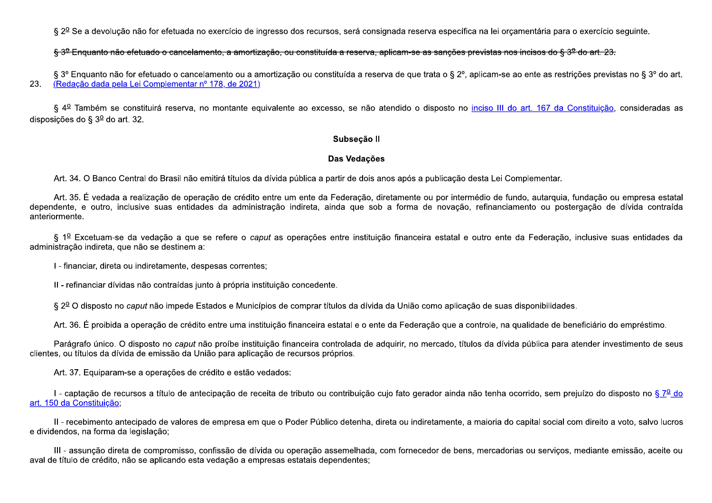§ 2º Se a devolução não for efetuada no exercício de ingresso dos recursos, será consignada reserva específica na lei orçamentária para o exercício seguinte.

#### <del>§ 3º Enquanto não efetuado o cancelamento, a amortização, ou constituída a reserva, aplicam-se as sanções previstas nos incisos do § 3º do art. 23.</del>

§ 3º Enquanto não for efetuado o cancelamento ou a amortização ou constituída a reserva de que trata o § 2º, aplicam-se ao ente as restrições previstas no § 3º do art. (Redação dada pela Lei Complementar nº 178, de 2021) 23.

§ 4º Também se constituirá reserva, no montante equivalente ao excesso, se não atendido o disposto no inciso III do art. 167 da Constituição, consideradas as disposições do  $\S$   $3<sup>0</sup>$  do art. 32.

#### Subseção II

#### Das Vedações

Art. 34. O Banco Central do Brasil não emitirá títulos da dívida pública a partir de dois anos após a publicação desta Lei Complementar.

Art. 35. É vedada a realização de operação de crédito entre um ente da Federação, diretamente ou por intermédio de fundo, autarquia, fundação ou empresa estatal dependente, e outro, inclusive suas entidades da administração indireta, ainda que sob a forma de novação, refinanciamento ou postergação de dívida contraída anteriormente.

§ 1º Excetuam-se da vedação a que se refere o caput as operações entre instituição financeira estatal e outro ente da Federação, inclusive suas entidades da administração indireta, que não se destinem a:

I - financiar, direta ou indiretamente, despesas correntes;

II - refinanciar dívidas não contraídas junto à própria instituição concedente.

§ 2º O disposto no caput não impede Estados e Municípios de comprar títulos da dívida da União como aplicação de suas disponibilidades.

Art. 36. É proibida a operação de crédito entre uma instituição financeira estatal e o ente da Federação que a controle, na qualidade de beneficiário do empréstimo.

Parágrafo único. O disposto no caput não proíbe instituição financeira controlada de adquirir, no mercado, títulos da dívida pública para atender investimento de seus clientes, ou títulos da dívida de emissão da União para aplicação de recursos próprios.

Art. 37. Equiparam-se a operações de crédito e estão vedados:

I - captação de recursos a título de antecipação de receita de tributo ou contribuição cujo fato gerador ainda não tenha ocorrido, sem prejuízo do disposto no §7º do art. 150 da Constituição:

Il - recebimento antecipado de valores de empresa em que o Poder Público detenha, direta ou indiretamente, a maioria do capital social com direito a voto, salvo lucros e dividendos, na forma da legislação;

III - assunção direta de compromisso, confissão de dívida ou operação assemelhada, com fornecedor de bens, mercadorias ou serviços, mediante emissão, aceite ou aval de título de crédito, não se aplicando esta vedação a empresas estatais dependentes;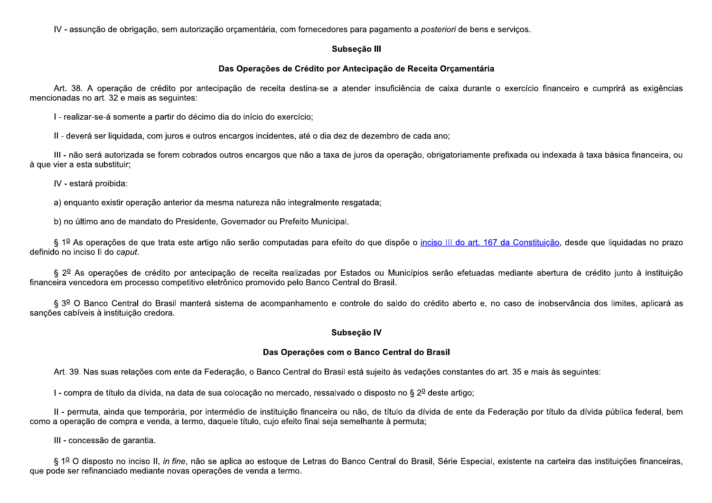IV - assunção de obrigação, sem autorização orçamentária, com fornecedores para pagamento a posteriori de bens e serviços.

### Subseção III

### Das Operações de Crédito por Antecipação de Receita Orçamentária

Art. 38. A operação de crédito por antecipação de receita destina-se a atender insuficiência de caixa durante o exercício financeiro e cumprirá as exigências mencionadas no art. 32 e mais as seguintes:

I - realizar-se-á somente a partir do décimo dia do início do exercício;

II - deverá ser liquidada, com juros e outros encargos incidentes, até o dia dez de dezembro de cada ano;

III - não será autorizada se forem cobrados outros encargos que não a taxa de juros da operação, obrigatoriamente prefixada ou indexada à taxa básica financeira, ou à que vier a esta substituir;

IV - estará proibida:

a) enquanto existir operação anterior da mesma natureza não integralmente resgatada;

b) no último ano de mandato do Presidente, Governador ou Prefeito Municipal.

§ 1º As operações de que trata este artigo não serão computadas para efeito do que dispõe o inciso III do art. 167 da Constituição, desde que liquidadas no prazo definido no inciso II do caput.

§ 2º As operações de crédito por antecipação de receita realizadas por Estados ou Municípios serão efetuadas mediante abertura de crédito junto à instituição financeira vencedora em processo competitivo eletrônico promovido pelo Banco Central do Brasil.

§ 3º O Banco Central do Brasil manterá sistema de acompanhamento e controle do saldo do crédito aberto e, no caso de inobservância dos limites, aplicará as sanções cabíveis à instituição credora.

### Subseção IV

### Das Operações com o Banco Central do Brasil

Art. 39. Nas suas relações com ente da Federação, o Banco Central do Brasil está sujeito às vedações constantes do art. 35 e mais às sequintes:

I - compra de título da dívida, na data de sua colocação no mercado, ressalvado o disposto no § 2º deste artigo;

II - permuta, ainda que temporária, por intermédio de instituição financeira ou não, de título da dívida de ente da Federação por título da dívida pública federal, bem como a operação de compra e venda, a termo, daquele título, cujo efeito final seja semelhante à permuta;

III - concessão de garantia.

§ 1º O disposto no inciso II, in fine, não se aplica ao estoque de Letras do Banco Central do Brasil, Série Especial, existente na carteira das instituições financeiras, que pode ser refinanciado mediante novas operações de venda a termo.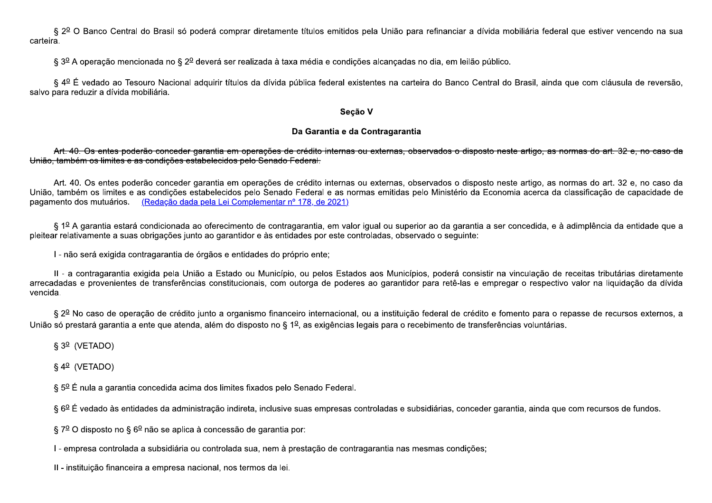§ 2º O Banco Central do Brasil só poderá comprar diretamente títulos emitidos pela União para refinanciar a dívida mobiliária federal que estiver vencendo na sua carteira.

§ 3º A operação mencionada no § 2º deverá ser realizada à taxa média e condições alcancadas no dia, em leilão público.

§ 4º É vedado ao Tesouro Nacional adquirir títulos da dívida pública federal existentes na carteira do Banco Central do Brasil, ainda que com cláusula de reversão, salvo para reduzir a dívida mobiliária.

#### Secão V

### Da Garantia e da Contragarantia

<del>poderão conceder garantia em operações de crédito internas ou externas, observados o disposto neste artigo, as normas do art.</del> <del>União, também os limites e as condições estabelecidos pelo</del>

Art. 40. Os entes poderão conceder garantia em operações de crédito internas ou externas, observados o disposto neste artigo, as normas do art. 32 e, no caso da União, também os limites e as condições estabelecidos pelo Senado Federal e as normas emitidas pelo Ministério da Economia acerca da classificação de capacidade de pagamento dos mutuários. (Redação dada pela Lei Complementar nº 178, de 2021)

§ 1º A garantia estará condicionada ao oferecimento de contragarantia, em valor igual ou superior ao da garantia a ser concedida, e à adimplência da entidade que a pleitear relativamente a suas obrigações junto ao garantidor e às entidades por este controladas, observado o seguinte:

I - não será exigida contragarantia de órgãos e entidades do próprio ente;

II - a contragarantia exigida pela União a Estado ou Município, ou pelos Estados aos Municípios, poderá consistir na vinculação de receitas tributárias diretamente arrecadadas e provenientes de transferências constitucionais, com outorga de poderes ao garantidor para retê-las e empregar o respectivo valor na liquidação da dívida vencida.

§ 2º No caso de operação de crédito junto a organismo financeiro internacional, ou a instituição federal de crédito e fomento para o repasse de recursos externos, a União só prestará garantia a ente que atenda, além do disposto no § 1º, as exigências legais para o recebimento de transferências voluntárias.

 $$3<sup>°</sup>$  (VETADO)

 $$4^{\circ}$  (VETADO)

§ 5º É nula a garantia concedida acima dos limites fixados pelo Senado Federal.

§ 6º É vedado às entidades da administração indireta, inclusive suas empresas controladas e subsidiárias, conceder garantia, ainda que com recursos de fundos.

§ 7º O disposto no § 6º não se aplica à concessão de garantia por:

I - empresa controlada a subsidiária ou controlada sua, nem à prestação de contragarantia nas mesmas condições:

II - instituição financeira a empresa nacional, nos termos da lei.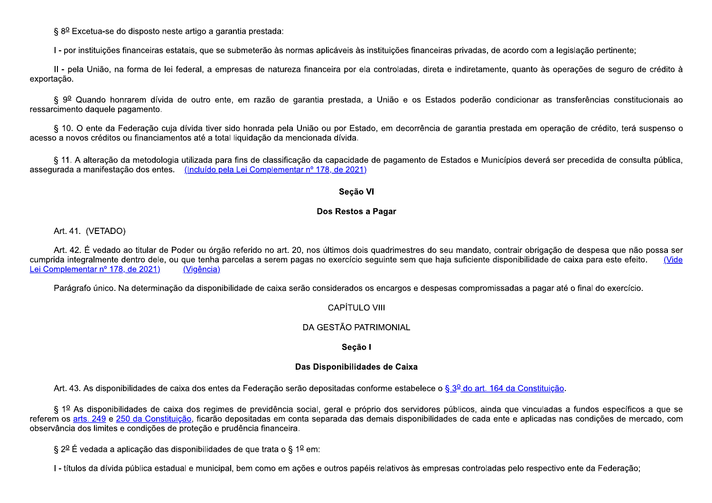\$8<sup>0</sup> Excetua-se do disposto neste artigo a garantia prestada:

I - por instituições financeiras estatais, que se submeterão às normas aplicáveis às instituições financeiras privadas, de acordo com a legislação pertinente;

II - pela União, na forma de lei federal, a empresas de natureza financeira por ela controladas, direta e indiretamente, quanto às operações de seguro de crédito à exportação.

§ 9º Quando honrarem dívida de outro ente, em razão de garantia prestada, a União e os Estados poderão condicionar as transferências constitucionais ao ressarcimento daquele pagamento.

§ 10. O ente da Federação cuja dívida tiver sido honrada pela União ou por Estado, em decorrência de garantia prestada em operação de crédito, terá suspenso o acesso a novos créditos ou financiamentos até a total liquidação da mencionada dívida.

§ 11. A alteração da metodologia utilizada para fins de classificação da capacidade de pagamento de Estados e Municípios deverá ser precedida de consulta pública, assegurada a manifestação dos entes. (Incluído pela Lei Complementar nº 178, de 2021)

### Seção VI

### Dos Restos a Pagar

Art. 41. (VETADO)

Art. 42. É vedado ao titular de Poder ou órgão referido no art. 20, nos últimos dois quadrimestres do seu mandato, contrair obrigação de despesa que não possa ser cumprida integralmente dentro dele, ou que tenha parcelas a serem pagas no exercício seguinte sem que haja suficiente disponibilidade de caixa para este efeito. (Vide Lei Complementar nº 178, de 2021) (Vigência)

Parágrafo único. Na determinação da disponibilidade de caixa serão considerados os encargos e despesas compromissadas a pagar até o final do exercício.

# CAPÍTULO VIII

# DA GESTÃO PATRIMONIAL

### Seção I

### Das Disponibilidades de Caixa

Art. 43. As disponibilidades de caixa dos entes da Federação serão depositadas conforme estabelece o § 3º do art. 164 da Constituição.

§ 1º As disponibilidades de caixa dos regimes de previdência social, geral e próprio dos servidores públicos, ainda que vinculadas a fundos específicos a que se referem os arts. 249 e 250 da Constituição, ficarão depositadas em conta separada das demais disponibilidades de cada ente e aplicadas nas condições de mercado, com observância dos limites e condições de proteção e prudência financeira.

§ 2º É vedada a aplicação das disponibilidades de que trata o § 1º em:

I - títulos da dívida pública estadual e municipal, bem como em ações e outros papéis relativos às empresas controladas pelo respectivo ente da Federação;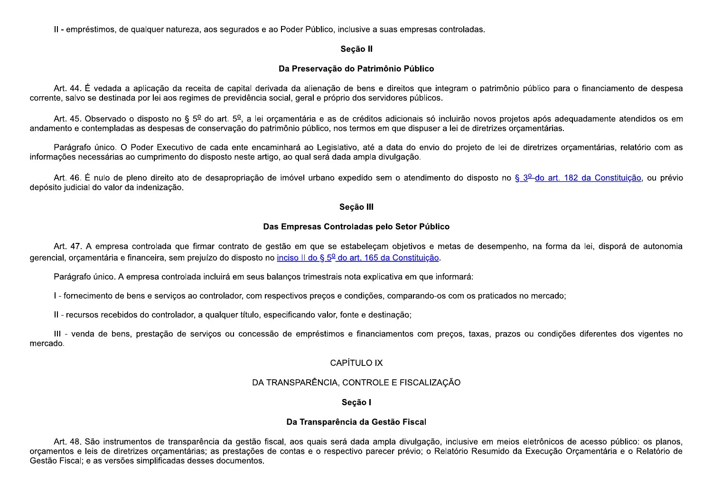II - empréstimos, de qualquer natureza, aos segurados e ao Poder Público, inclusive a suas empresas controladas.

#### Secão II

### Da Preservação do Patrimônio Público

Art. 44. É vedada a aplicação da receita de capital derivada da alienação de bens e direitos que integram o patrimônio público para o financiamento de despesa corrente, salvo se destinada por lei aos regimes de previdência social, geral e próprio dos servidores públicos.

Art. 45. Observado o disposto no § 5º do art. 5º, a lei orcamentária e as de créditos adicionais só incluirão novos projetos após adequadamente atendidos os em andamento e contempladas as despesas de conservação do patrimônio público, nos termos em que dispuser a lei de diretrizes orcamentárias.

Parágrafo único. O Poder Executivo de cada ente encaminhará ao Legislativo, até a data do envio do projeto de lei de diretrizes orcamentárias, relatório com as informações necessárias ao cumprimento do disposto neste artigo, ao qual será dada ampla divulgação.

Art. 46. É nulo de pleno direito ato de desapropriação de imóvel urbano expedido sem o atendimento do disposto no § 3<sup>0</sup>-do art. 182 da Constituição, ou prévio depósito judicial do valor da indenização.

### Seção III

### Das Empresas Controladas pelo Setor Público

Art. 47. A empresa controlada que firmar contrato de gestão em que se estabelecam objetivos e metas de desempenho, na forma da lei, disporá de autonomia gerencial, orcamentária e financeira, sem prejuízo do disposto no inciso II do § 5º do art. 165 da Constituição.

Parágrafo único. A empresa controlada incluirá em seus balancos trimestrais nota explicativa em que informará:

I - fornecimento de bens e servicos ao controlador, com respectivos precos e condições, comparando-os com os praticados no mercado;

II - recursos recebidos do controlador, a qualquer título, especificando valor, fonte e destinação;

III - venda de bens, prestação de servicos ou concessão de empréstimos e financiamentos com preços, taxas, prazos ou condições diferentes dos vigentes no mercado.

# CAPÍTULO IX

# DA TRANSPARÊNCIA, CONTROLE E FISCALIZAÇÃO

### Seção I

### Da Transparência da Gestão Fiscal

Art. 48. São instrumentos de transparência da gestão fiscal, aos quais será dada ampla divulgação, inclusive em meios eletrônicos de acesso público: os planos, orcamentos e leis de diretrizes orcamentárias; as prestações de contas e o respectivo parecer prévio; o Relatório Resumido da Execução Orcamentária e o Relatório de Gestão Fiscal; e as versões simplificadas desses documentos.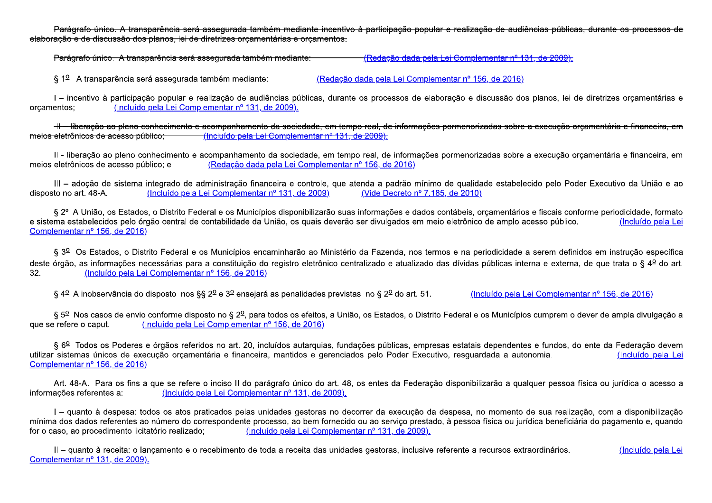Parágrafo único. A transparência será assegurada também mediante incentivo à participação popular e realização de audiências públicas, durante os elaboração e de discussão dos planos, lei de diretrizes orcamentárias e orcamentos.

**(Redacão dada pela Lei Complementar nº 131.** Parágrafo único. A transparência será assegurada também mediante:

 $\frac{10}{2}$  A transparência será assegurada também mediante: (Redação dada pela Lei Complementar nº 156, de 2016)

I - incentivo à participação popular e realização de audiências públicas, durante os processos de elaboração e discussão dos planos, lei de diretrizes orçamentárias e (Incluído pela Lei Complementar nº 131, de 2009). orcamentos;

<del>II – liberação ao pleno conhecimento e acompanhamento da sociedade, em tempo real, de informações pormenorizadas sobre a execução orçamentária e fina</del> (Incluído pela Lei Complementar nº 131, de 2009). meios eletrônicos de acesso público;

II - liberação ao pleno conhecimento e acompanhamento da sociedade, em tempo real, de informações pormenorizadas sobre a execução orcamentária e financeira, em mejos eletrônicos de acesso público: e (Redação dada pela Lei Complementar nº 156, de 2016)

III – adoção de sistema integrado de administração financeira e controle, que atenda a padrão mínimo de qualidade estabelecido pelo Poder Executivo da União e ao disposto no art. 48-A. (Incluído pela Lei Complementar nº 131, de 2009) (Vide Decreto nº 7.185, de 2010)

§ 2º A União, os Estados, o Distrito Federal e os Municípios disponibilizarão suas informações e dados contábeis, orcamentários e fiscais conforme periodicidade, formato e sistema estabelecidos pelo órgão central de contabilidade da União, os quais deverão ser divulgados em meio eletrônico de amplo acesso público. (Incluído pela Lei Complementar nº 156, de 2016)

§ 3º Os Estados, o Distrito Federal e os Municípios encaminharão ao Ministério da Fazenda, nos termos e na periodicidade a serem definidos em instrução específica deste órgão, as informações necessárias para a constituição do registro eletrônico centralizado e atualizado das dívidas públicas interna e externa, de que trata o § 4º do art. (Incluído pela Lei Complementar nº 156, de 2016)  $32<sub>1</sub>$ 

 $\S 4^{\circ}$  A inobservância do disposto nos  $\S 2^{\circ}$  e  $3^{\circ}$  ensejará as penalidades previstas no  $\S 2^{\circ}$  do art. 51.

(Incluído pela Lei Complementar nº 156, de 2016)

§ 5º Nos casos de envio conforme disposto no § 2º, para todos os efeitos, a União, os Estados, o Distrito Federal e os Municípios cumprem o dever de ampla divulgação a que se refere o caput. (Incluído pela Lei Complementar nº 156, de 2016)

§ 6º Todos os Poderes e órgãos referidos no art. 20, incluídos autarquias, fundações públicas, empresas estatais dependentes e fundos, do ente da Federação devem utilizar sistemas únicos de execução orcamentária e financeira, mantidos e gerenciados pelo Poder Executivo, resquardada a autonomia. (Incluído pela Lei Complementar nº 156, de 2016)

Art. 48-A. Para os fins a que se refere o inciso II do parágrafo único do art. 48, os entes da Federação disponibilizarão a qualquer pessoa física ou jurídica o acesso a informações referentes a: (Incluído pela Lei Complementar nº 131, de 2009).

I – quanto à despesa: todos os atos praticados pelas unidades gestoras no decorrer da execução da despesa, no momento de sua realização, com a disponibilização mínima dos dados referentes ao número do correspondente processo, ao bem fornecido ou ao servico prestado, à pessoa física ou jurídica beneficiária do pagamento e, quando for o caso, ao procedimento licitatório realizado; (Incluído pela Lei Complementar nº 131, de 2009).

(Incluído pela Lei II – quanto à receita: o lancamento e o recebimento de toda a receita das unidades gestoras, inclusive referente a recursos extraordinários. Complementar nº 131, de 2009).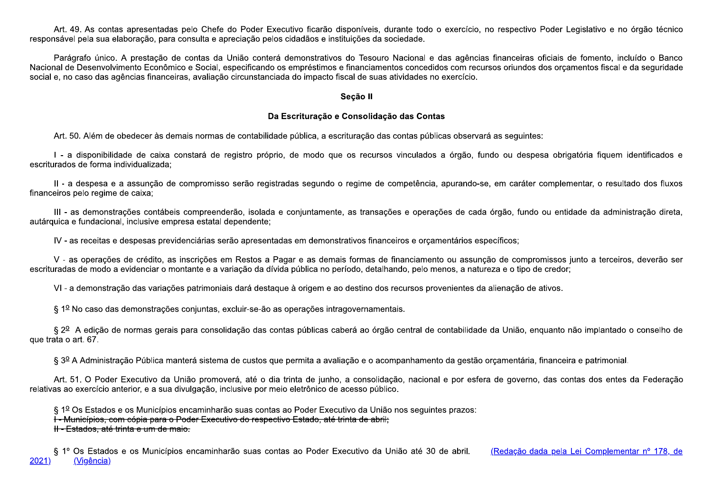Art. 49. As contas apresentadas pelo Chefe do Poder Executivo ficarão disponíveis, durante todo o exercício, no respectivo Poder Legislativo e no órgão técnico responsável pela sua elaboração, para consulta e apreciação pelos cidadãos e instituições da sociedade.

Parágrafo único. A prestação de contas da União conterá demonstrativos do Tesouro Nacional e das agências financeiras oficiais de fomento, incluído o Banco Nacional de Desenvolvimento Econômico e Social, especificando os empréstimos e financiamentos concedidos com recursos oriundos dos orcamentos fiscal e da seguridade social e, no caso das agências financeiras, avaliação circunstanciada do impacto fiscal de suas atividades no exercício.

#### Seção II

#### Da Escrituração e Consolidação das Contas

Art. 50. Além de obedecer às demais normas de contabilidade pública, a escrituração das contas públicas observará as seguintes:

I - a disponibilidade de caixa constará de registro próprio, de modo que os recursos vinculados a órgão, fundo ou despesa obrigatória figuem identificados e escriturados de forma individualizada:

II - a despesa e a assunção de compromisso serão registradas segundo o regime de competência, apurando-se, em caráter complementar, o resultado dos fluxos financeiros pelo regime de caixa;

III - as demonstrações contábeis compreenderão, isolada e conjuntamente, as transações e operações de cada órgão, fundo ou entidade da administração direta, autárquica e fundacional, inclusive empresa estatal dependente;

IV - as receitas e despesas previdenciárias serão apresentadas em demonstrativos financeiros e orcamentários específicos;

V - as operações de crédito, as inscrições em Restos a Pagar e as demais formas de financiamento ou assunção de compromissos junto a terceiros, deverão ser escrituradas de modo a evidenciar o montante e a variação da dívida pública no período, detalhando, pelo menos, a natureza e o tipo de credor;

VI-a demonstração das variações patrimoniais dará destague à origem e ao destino dos recursos provenientes da alienação de ativos.

§ 1º No caso das demonstrações conjuntas, excluir-se-ão as operações intragovernamentais.

§ 2º A edição de normas gerais para consolidação das contas públicas caberá ao órgão central de contabilidade da União, enguanto não implantado o conselho de que trata o art. 67.

§ 3º A Administração Pública manterá sistema de custos que permita a avaliação e o acompanhamento da gestão orcamentária, financeira e patrimonial.

Art. 51. O Poder Executivo da União promoverá, até o dia trinta de junho, a consolidação, nacional e por esfera de governo, das contas dos entes da Federação relativas ao exercício anterior, e a sua divulgação, inclusive por meio eletrônico de acesso público.

§ 1º Os Estados e os Municípios encaminharão suas contas ao Poder Executivo da União nos seguintes prazos: I-Municípios, com cópia para o Poder Executivo do respectivo Estado, até trinta de abril:

H - Estados, até trinta e um de maio.

§ 1º Os Estados e os Municípios encaminharão suas contas ao Poder Executivo da União até 30 de abril. (Redação dada pela Lei Complementar nº 178, de  $2021$ (Vigência)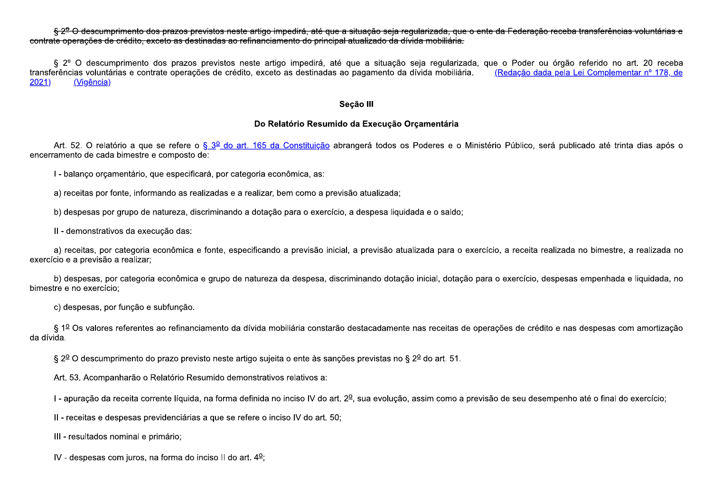O descumprimento dos prazos previstos neste artigo impedirá, até que a situação seja regularizada, que o ente da Federação receba transferências voluntárias contrate operações de crédito, exceto as destinadas ao refinanciamento do principal atualizado da dívida mobiliária.

§ 2º O descumprimento dos prazos previstos neste artigo impedirá, até que a situação seja regularizada, que o Poder ou órgão referido no art. 20 receba transferências voluntárias e contrate operações de crédito, exceto as destinadas ao pagamento da dívida mobiliária. (Redação dada pela Lei Complementar nº 178, de  $2021$ (Vigência)

#### Seção III

#### Do Relatório Resumido da Execução Orçamentária

Art. 52. O relatório a que se refere o § 3º do art. 165 da Constituição abrangerá todos os Poderes e o Ministério Público, será publicado até trinta dias após o encerramento de cada bimestre e composto de:

I - balanço orçamentário, que especificará, por categoria econômica, as:

a) receitas por fonte, informando as realizadas e a realizar, bem como a previsão atualizada;

b) despesas por grupo de natureza, discriminando a dotação para o exercício, a despesa liguidada e o saldo;

II - demonstrativos da execução das:

a) receitas, por categoria econômica e fonte, especificando a previsão inicial, a previsão atualizada para o exercício, a receita realizada no bimestre, a realizada no exercício e a previsão a realizar:

b) despesas, por categoria econômica e grupo de natureza da despesa, discriminando dotação inicial, dotação para o exercício, despesas empenhada e liquidada, no bimestre e no exercício:

c) despesas, por função e subfunção.

§ 1º Os valores referentes ao refinanciamento da dívida mobiliária constarão destacadamente nas receitas de operações de crédito e nas despesas com amortização da dívida.

§ 2º O descumprimento do prazo previsto neste artigo sujeita o ente às sancões previstas no § 2º do art. 51.

Art. 53. Acompanharão o Relatório Resumido demonstrativos relativos a:

I - apuração da receita corrente líquida, na forma definida no inciso IV do art. 2º, sua evolução, assim como a previsão de seu desempenho até o final do exercício;

II - receitas e despesas previdenciárias a que se refere o inciso IV do art. 50;

III - resultados nominal e primário;

IV - despesas com juros, na forma do inciso II do art.  $4^{\circ}$ ;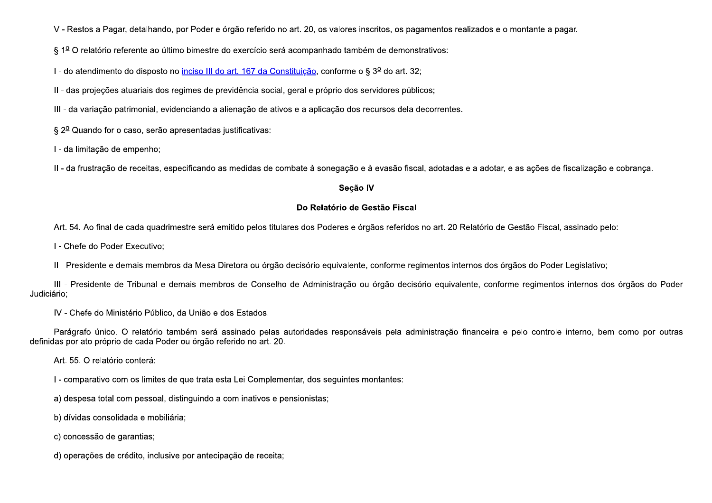V - Restos a Pagar, detalhando, por Poder e órgão referido no art. 20, os valores inscritos, os pagamentos realizados e o montante a pagar.

§ 1º O relatório referente ao último bimestre do exercício será acompanhado também de demonstrativos:

1- do atendimento do disposto no inciso III do art. 167 da Constituição, conforme o § 3º do art. 32;

II - das projeções atuariais dos regimes de previdência social, geral e próprio dos servidores públicos;

III-da variação patrimonial, evidenciando a alienação de ativos e a aplicação dos recursos dela decorrentes.

§ 2º Quando for o caso, serão apresentadas justificativas:

I - da limitação de empenho;

II - da frustração de receitas, especificando as medidas de combate à sonegação e à evasão fiscal, adotadas e a adotar, e as ações de fiscalização e cobrança.

### Seção IV

### Do Relatório de Gestão Fiscal

Art. 54. Ao final de cada quadrimestre será emitido pelos titulares dos Poderes e órgãos referidos no art. 20 Relatório de Gestão Fiscal, assinado pelo:

I - Chefe do Poder Executivo;

II - Presidente e demais membros da Mesa Diretora ou órgão decisório equivalente, conforme regimentos internos dos órgãos do Poder Legislativo;

III - Presidente de Tribunal e demais membros de Conselho de Administração ou órgão decisório equivalente, conforme regimentos internos dos órgãos do Poder Judiciário;

IV - Chefe do Ministério Público, da União e dos Estados.

Parágrafo único. O relatório também será assinado pelas autoridades responsáveis pela administração financeira e pelo controle interno, bem como por outras definidas por ato próprio de cada Poder ou órgão referido no art. 20.

Art. 55. O relatório conterá:

I - comparativo com os limites de que trata esta Lei Complementar, dos seguintes montantes:

a) despesa total com pessoal, distinguindo a com inativos e pensionistas;

b) dívidas consolidada e mobiliária;

c) concessão de garantias;

d) operações de crédito, inclusive por antecipação de receita;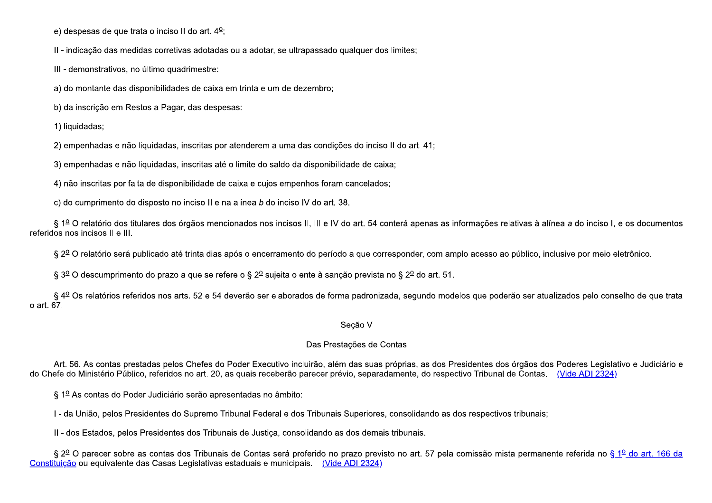e) despesas de que trata o inciso II do art. 4<sup>2</sup>.

II - indicação das medidas corretivas adotadas ou a adotar, se ultrapassado qualquer dos limites;

III - demonstrativos, no último quadrimestre:

a) do montante das disponibilidades de caixa em trinta e um de dezembro;

b) da inscrição em Restos a Pagar, das despesas:

1) liquidadas;

2) empenhadas e não liquidadas, inscritas por atenderem a uma das condições do inciso II do art. 41;

3) empenhadas e não liquidadas, inscritas até o limite do saldo da disponibilidade de caixa;

4) não inscritas por falta de disponibilidade de caixa e cujos empenhos foram cancelados;

c) do cumprimento do disposto no inciso II e na alínea b do inciso IV do art. 38.

§ 1º O relatório dos titulares dos órgãos mencionados nos incisos II, III e IV do art. 54 conterá apenas as informações relativas à alínea a do inciso I, e os documentos referidos nos incisos II e III

§ 2º O relatório será publicado até trinta dias após o encerramento do período a que corresponder, com amplo acesso ao público, inclusive por meio eletrônico.

§ 3º O descumprimento do prazo a que se refere o § 2º sujeita o ente à sanção prevista no § 2º do art. 51.

§ 4º Os relatórios referidos nos arts. 52 e 54 deverão ser elaborados de forma padronizada, segundo modelos que poderão ser atualizados pelo conselho de que trata o art. 67.

### Secão V

### Das Prestações de Contas

Art. 56. As contas prestadas pelos Chefes do Poder Executivo incluirão, além das suas próprias, as dos Presidentes dos órgãos dos Poderes Legislativo e Judiciário e do Chefe do Ministério Público, referidos no art. 20, as quais receberão parecer prévio, separadamente, do respectivo Tribunal de Contas. (Vide ADI 2324)

§ 1º As contas do Poder Judiciário serão apresentadas no âmbito:

I - da União, pelos Presidentes do Supremo Tribunal Federal e dos Tribunais Superiores, consolidando as dos respectivos tribunais;

II - dos Estados, pelos Presidentes dos Tribunais de Justiça, consolidando as dos demais tribunais.

§ 2º O parecer sobre as contas dos Tribunais de Contas será proferido no prazo previsto no art. 57 pela comissão mista permanente referida no § 1º do art. 166 da Constituição ou equivalente das Casas Legislativas estaduais e municipais. (Vide ADI 2324)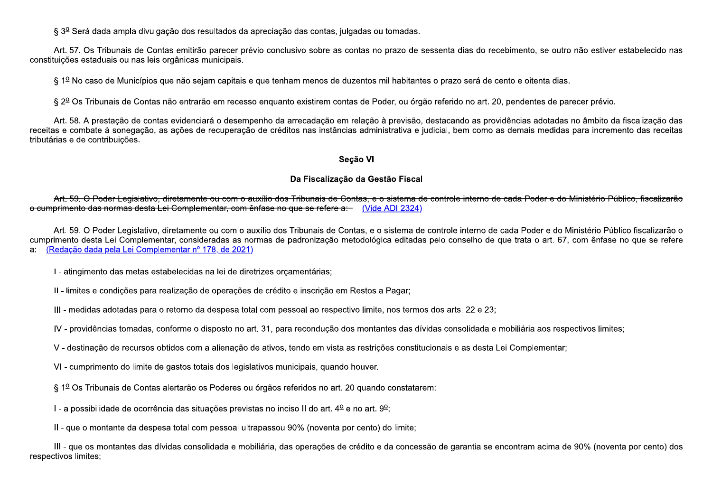§ 3º Será dada ampla divulgação dos resultados da apreciação das contas, julgadas ou tomadas.

Art. 57. Os Tribunais de Contas emitirão parecer prévio conclusivo sobre as contas no prazo de sessenta dias do recebimento, se outro não estiver estabelecido nas constituições estaduais ou nas leis orgânicas municipais.

§ 1º No caso de Municípios que não sejam capitais e que tenham menos de duzentos mil habitantes o prazo será de cento e oitenta dias.

§ 2º Os Tribunais de Contas não entrarão em recesso enquanto existirem contas de Poder, ou órgão referido no art. 20, pendentes de parecer prévio.

Art. 58. A prestação de contas evidenciará o desempenho da arrecadação em relação à previsão, destacando as providências adotadas no âmbito da fiscalização das receitas e combate à sonegação, as ações de recuperação de créditos nas instâncias administrativa e judicial, bem como as demais medidas para incremento das receitas tributárias e de contribuições.

### Seção VI

### Da Fiscalização da Gestão Fiscal

Poder Legislativo, diretamente ou com o auxílio dos Tribunais de Contas, e o sistema de controle interno de cada Poder e do Ministério Público. e cumprimento das normas desta Lei Complementar, com ênfase no que se refere a: (Vide ADI 2324)

Art. 59. O Poder Legislativo, diretamente ou com o auxílio dos Tribunais de Contas, e o sistema de controle interno de cada Poder e do Ministério Público fiscalizarão o cumprimento desta Lei Complementar, consideradas as normas de padronização metodológica editadas pelo conselho de que trata o art. 67, com ênfase no que se refere (Redação dada pela Lei Complementar nº 178, de 2021) a:

I - atingimento das metas estabelecidas na lei de diretrizes orcamentárias;

II - limites e condições para realização de operações de crédito e inscrição em Restos a Pagar;

III - medidas adotadas para o retorno da despesa total com pessoal ao respectivo limite, nos termos dos arts. 22 e 23;

IV - providências tomadas, conforme o disposto no art. 31, para recondução dos montantes das dívidas consolidada e mobiliária aos respectivos limites;

V - destinação de recursos obtidos com a alienação de ativos, tendo em vista as restrições constitucionais e as desta Lei Complementar;

VI - cumprimento do limite de gastos totais dos legislativos municipais, guando houver.

§ 1º Os Tribunais de Contas alertarão os Poderes ou órgãos referidos no art. 20 quando constatarem:

l - a possibilidade de ocorrência das situações previstas no inciso II do art. 4<sup>0</sup> e no art. 9<sup>0</sup>;

II - que o montante da despesa total com pessoal ultrapassou 90% (noventa por cento) do limite;

III - que os montantes das dívidas consolidada e mobiliária, das operações de crédito e da concessão de garantia se encontram acima de 90% (noventa por cento) dos respectivos limites: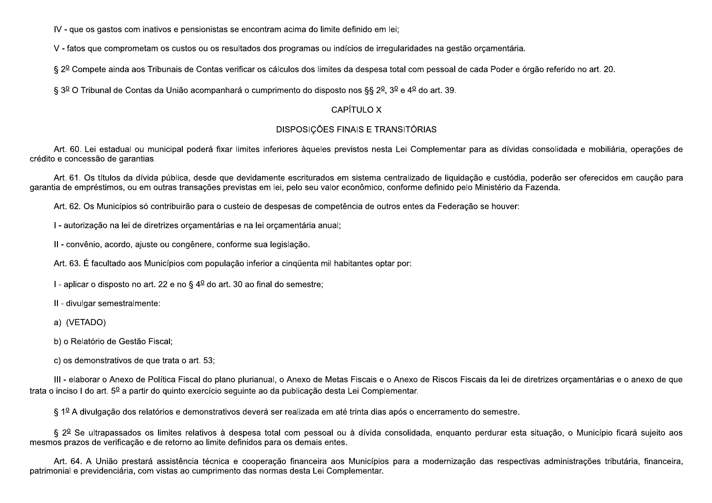IV - que os gastos com inativos e pensionistas se encontram acima do limite definido em lei;

V - fatos que comprometam os custos ou os resultados dos programas ou indícios de irregularidades na gestão orçamentária.

§ 2º Compete ainda aos Tribunais de Contas verificar os cálculos dos limites da despesa total com pessoal de cada Poder e órgão referido no art. 20.

§ 3º O Tribunal de Contas da União acompanhará o cumprimento do disposto nos §§ 2º, 3º e 4º do art. 39.

### CAPÍTULO X

### DISPOSIÇÕES FINAIS E TRANSITÓRIAS

Art. 60. Lei estadual ou municipal poderá fixar limites inferiores àqueles previstos nesta Lei Complementar para as dívidas consolidada e mobiliária, operações de crédito e concessão de garantias.

Art. 61. Os títulos da dívida pública, desde que devidamente escriturados em sistema centralizado de liquidação e custódia, poderão ser oferecidos em caução para garantia de empréstimos, ou em outras transações previstas em lei, pelo seu valor econômico, conforme definido pelo Ministério da Fazenda.

Art. 62. Os Municípios só contribuirão para o custeio de despesas de competência de outros entes da Federação se houver:

I - autorização na lei de diretrizes orcamentárias e na lei orcamentária anual;

II - convênio, acordo, ajuste ou congênere, conforme sua legislação.

Art. 63. É facultado aos Municípios com população inferior a cinqüenta mil habitantes optar por:

I - aplicar o disposto no art. 22 e no §  $4^{\circ}$  do art. 30 ao final do semestre;

II - divulgar semestralmente:

a) (VETADO)

b) o Relatório de Gestão Fiscal;

c) os demonstrativos de que trata o art. 53;

III - elaborar o Anexo de Política Fiscal do plano plurianual, o Anexo de Metas Fiscais e o Anexo de Riscos Fiscais da lei de diretrizes orcamentárias e o anexo de que trata o inciso I do art. 5º a partir do quinto exercício seguinte ao da publicação desta Lei Complementar.

§ 1º A divulgação dos relatórios e demonstrativos deverá ser realizada em até trinta dias após o encerramento do semestre.

§ 2º Se ultrapassados os limites relativos à despesa total com pessoal ou à dívida consolidada, enquanto perdurar esta situação, o Município ficará sujeito aos mesmos prazos de verificação e de retorno ao limite definidos para os demais entes.

Art. 64. A União prestará assistência técnica e cooperação financeira aos Municípios para a modernização das respectivas administrações tributária, financeira, patrimonial e previdenciária, com vistas ao cumprimento das normas desta Lei Complementar.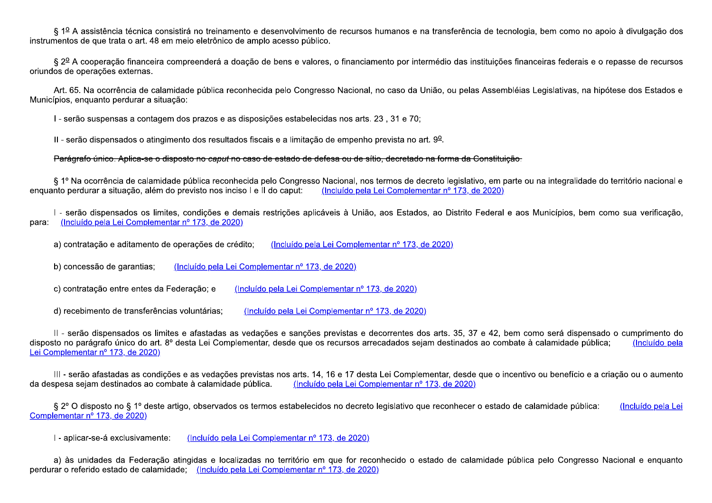§ 1º A assistência técnica consistirá no treinamento e desenvolvimento de recursos humanos e na transferência de tecnologia, bem como no apoio à divulgação dos instrumentos de que trata o art. 48 em meio eletrônico de amplo acesso público.

§ 2º A cooperação financeira compreenderá a doação de bens e valores, o financiamento por intermédio das instituições financeiras federais e o repasse de recursos oriundos de operações externas.

Art. 65. Na ocorrência de calamidade pública reconhecida pelo Congresso Nacional, no caso da União, ou pelas Assembléias Legislativas, na hipótese dos Estados e Municípios, enguanto perdurar a situação:

I - serão suspensas a contagem dos prazos e as disposições estabelecidas nos arts. 23, 31 e 70;

II - serão dispensados o atingimento dos resultados fiscais e a limitação de empenho prevista no art. 9<sup>9</sup>

Parágrafo único. Aplica-se o disposto no caput no caso de estado de defesa ou de sítio, decretado na forma da Constituição.

§ 1º Na ocorrência de calamidade pública reconhecida pelo Congresso Nacional, nos termos de decreto legislativo, em parte ou na integralidade do território nacional e enquanto perdurar a situação, além do previsto nos inciso I e II do caput: (Incluído pela Lei Complementar nº 173, de 2020)

I - serão dispensados os limites, condições e demais restrições aplicáveis à União, aos Estados, ao Distrito Federal e aos Municípios, bem como sua verificação, (Incluído pela Lei Complementar nº 173, de 2020) para:

a) contratação e aditamento de operações de crédito; (Incluído pela Lei Complementar nº 173, de 2020)

b) concessão de garantias; (Incluído pela Lei Complementar nº 173, de 2020)

c) contratação entre entes da Federação; e (Incluído pela Lei Complementar nº 173, de 2020)

d) recebimento de transferências voluntárias; (Incluído pela Lei Complementar nº 173, de 2020)

Il - serão dispensados os limites e afastadas as vedações e sanções previstas e decorrentes dos arts. 35, 37 e 42, bem como será dispensado o cumprimento do disposto no parágrafo único do art. 8º desta Lei Complementar, desde que os recursos arrecadados sejam destinados ao combate à calamidade pública; (Incluído pela Lei Complementar nº 173, de 2020)

III - serão afastadas as condições e as vedações previstas nos arts. 14, 16 e 17 desta Lei Complementar, desde que o incentivo ou benefício e a criação ou o aumento da despesa sejam destinados ao combate à calamidade pública. (Incluído pela Lei Complementar nº 173, de 2020)

§ 2º O disposto no § 1º deste artigo, observados os termos estabelecidos no decreto legislativo que reconhecer o estado de calamidade pública: (Incluído pela Lei Complementar nº 173, de 2020)

(Incluído pela Lei Complementar nº 173, de 2020) I - aplicar-se-á exclusivamente:

a) às unidades da Federação atingidas e localizadas no território em que for reconhecido o estado de calamidade pública pelo Congresso Nacional e enquanto perdurar o referido estado de calamidade: (Incluído pela Lei Complementar nº 173, de 2020)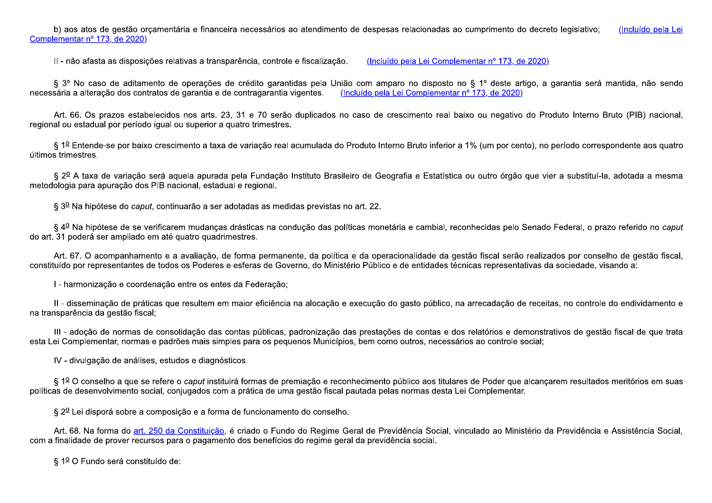b) aos atos de gestão orçamentária e financeira necessários ao atendimento de despesas relacionadas ao cumprimento do decreto legislativo; (Incluído pela Lei Complementar nº 173, de 2020)

(Incluído pela Lei Complementar nº 173, de 2020) II - não afasta as disposições relativas a transparência, controle e fiscalização.

§ 3º No caso de aditamento de operações de crédito garantidas pela União com amparo no disposto no § 1º deste artigo, a garantia será mantida, não sendo necessária a alteração dos contratos de garantia e de contragarantia vigentes. (Incluído pela Lei Complementar nº 173, de 2020)

Art. 66. Os prazos estabelecidos nos arts. 23, 31 e 70 serão duplicados no caso de crescimento real baixo ou negativo do Produto Interno Bruto (PIB) nacional, regional ou estadual por período igual ou superior a quatro trimestres.

§ 1º Entende-se por baixo crescimento a taxa de variação real acumulada do Produto Interno Bruto inferior a 1% (um por cento), no período correspondente aos quatro últimos trimestres.

§ 2º A taxa de variação será aquela apurada pela Fundação Instituto Brasileiro de Geografia e Estatística ou outro órgão que vier a substituí-la, adotada a mesma metodologia para apuração dos PIB nacional, estadual e regional.

§ 3º Na hipótese do caput, continuarão a ser adotadas as medidas previstas no art. 22.

§ 4º Na hipótese de se verificarem mudanças drásticas na condução das políticas monetária e cambial, reconhecidas pelo Senado Federal, o prazo referido no caput do art. 31 poderá ser ampliado em até quatro quadrimestres.

Art. 67. O acompanhamento e a avaliação, de forma permanente, da política e da operacionalidade da gestão fiscal serão realizados por conselho de gestão fiscal, constituído por representantes de todos os Poderes e esferas de Governo, do Ministério Público e de entidades técnicas representativas da sociedade, visando a:

I - harmonização e coordenação entre os entes da Federação;

II - disseminação de práticas que resultem em maior eficiência na alocação e execução do gasto público, na arrecadação de receitas, no controle do endividamento e na transparência da gestão fiscal;

III - adocão de normas de consolidação das contas públicas, padronização das prestações de contas e dos relatórios e demonstrativos de gestão fiscal de que trata esta Lei Complementar, normas e padrões mais simples para os pequenos Municípios, bem como outros, necessários ao controle social;

IV - divulgação de análises, estudos e diagnósticos.

§ 1º O conselho a que se refere o caput instituirá formas de premiação e reconhecimento público aos titulares de Poder que alcançarem resultados meritórios em suas políticas de desenvolvimento social, conjugados com a prática de uma gestão fiscal pautada pelas normas desta Lei Complementar.

§ 2º Lei disporá sobre a composição e a forma de funcionamento do conselho.

Art. 68. Na forma do art. 250 da Constituição, é criado o Fundo do Regime Geral de Previdência Social, vinculado ao Ministério da Previdência e Assistência Social, com a finalidade de prover recursos para o pagamento dos benefícios do regime geral da previdência social.

§ 1º O Fundo será constituído de: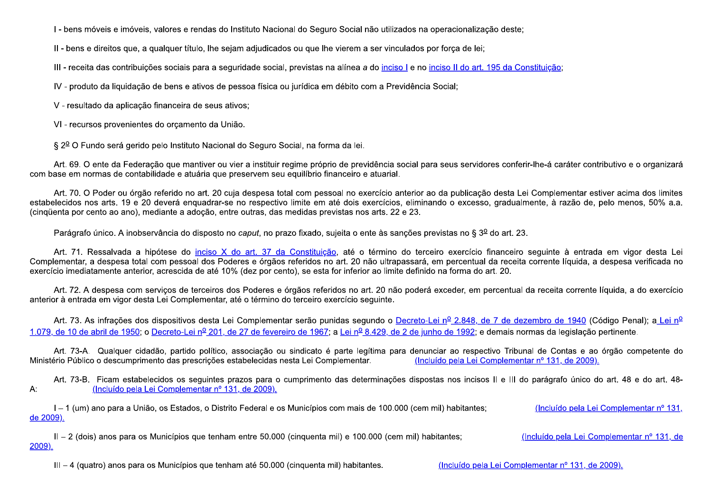I - bens móveis e imóveis, valores e rendas do Instituto Nacional do Seguro Social não utilizados na operacionalização deste;

II - bens e direitos que, a qualquer título, lhe sejam adjudicados ou que lhe vierem a ser vinculados por força de lei;

III - receita das contribuições sociais para a seguridade social, previstas na alínea a do inciso I e no inciso II do art. 195 da Constituição;

IV - produto da liquidação de bens e ativos de pessoa física ou jurídica em débito com a Previdência Social;

V - resultado da aplicação financeira de seus ativos;

VI - recursos provenientes do orçamento da União.

§ 2º O Fundo será gerido pelo Instituto Nacional do Seguro Social, na forma da lei.

Art. 69. O ente da Federação que mantiver ou vier a instituir regime próprio de previdência social para seus servidores conferir-lhe-á caráter contributivo e o organizará com base em normas de contabilidade e atuária que preservem seu equilíbrio financeiro e atuarial.

Art. 70. O Poder ou órgão referido no art. 20 cuja despesa total com pessoal no exercício anterior ao da publicação desta Lei Complementar estiver acima dos limites estabelecidos nos arts. 19 e 20 deverá enguadrar-se no respectivo limite em até dois exercícios, eliminando o excesso, gradualmente, à razão de, pelo menos, 50% a.a. (cinquenta por cento ao ano), mediante a adoção, entre outras, das medidas previstas nos arts. 22 e 23.

Parágrafo único. A inobservância do disposto no caput, no prazo fixado, sujeita o ente às sancões previstas no § 3º do art. 23.

Art. 71. Ressalvada a hipótese do inciso X do art. 37 da Constituição, até o término do terceiro exercício financeiro seguinte à entrada em vigor desta Lei Complementar, a despesa total com pessoal dos Poderes e órgãos referidos no art. 20 não ultrapassará, em percentual da receita corrente líquida, a despesa verificada no exercício imediatamente anterior, acrescida de até 10% (dez por cento), se esta for inferior ao limite definido na forma do art. 20.

Art. 72. A despesa com servicos de terceiros dos Poderes e órgãos referidos no art. 20 não poderá exceder, em percentual da receita corrente líquida, a do exercício anterior à entrada em vigor desta Lei Complementar, até o término do terceiro exercício seguinte.

Art. 73. As infrações dos dispositivos desta Lei Complementar serão punidas segundo o Decreto-Lei nº 2.848, de 7 de dezembro de 1940 (Código Penal); a Lei nº 1.079. de 10 de abril de 1950; o Decreto-Lei nº 201, de 27 de fevereiro de 1967; a Lei nº 8.429, de 2 de junho de 1992; e demais normas da legislação pertinente.

Art. 73-A. Qualquer cidadão, partido político, associação ou sindicato é parte legítima para denunciar ao respectivo Tribunal de Contas e ao órgão competente do Ministério Público o descumprimento das prescrições estabelecidas nesta Lei Complementar. (Incluído pela Lei Complementar nº 131, de 2009).

Art. 73-B. Ficam estabelecidos os sequintes prazos para o cumprimento das determinações dispostas nos incisos II e III do parágrafo único do art. 48 e do art. 48-(Incluído pela Lei Complementar nº 131, de 2009).  $A$ :

I – 1 (um) ano para a União, os Estados, o Distrito Federal e os Municípios com mais de 100.000 (cem mil) habitantes; (Incluído pela Lei Complementar nº 131, de 2009).

 $II - 2$  (dois) anos para os Municípios que tenham entre 50.000 (cinquenta mil) e 100.000 (cem mil) habitantes; (Incluído pela Lei Complementar nº 131, de 2009).

III – 4 (quatro) anos para os Municípios que tenham até 50.000 (cinquenta mil) habitantes.

(Incluído pela Lei Complementar nº 131, de 2009).